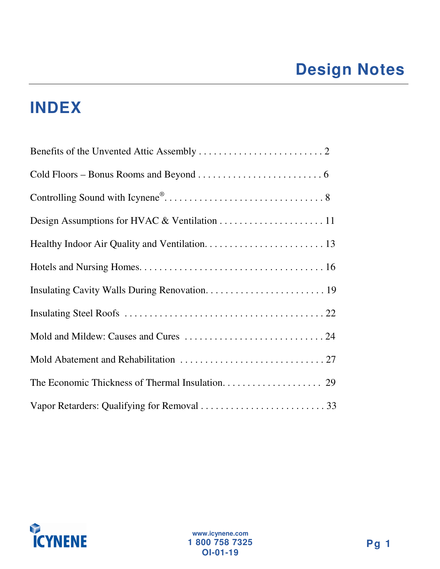# **Design Notes**

# **INDEX**

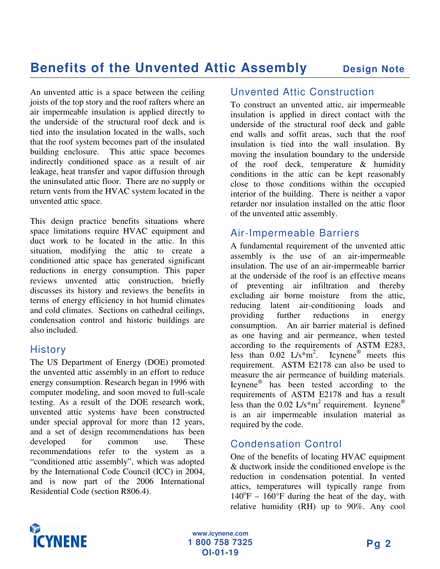An unvented attic is a space between the ceiling joists of the top story and the roof rafters where an air impermeable insulation is applied directly to the underside of the structural roof deck and is tied into the insulation located in the walls, such that the roof system becomes part of the insulated building enclosure. This attic space becomes indirectly conditioned space as a result of air leakage, heat transfer and vapor diffusion through the uninsulated attic floor. There are no supply or return vents from the HVAC system located in the unvented attic space.

This design practice benefits situations where space limitations require HVAC equipment and duct work to be located in the attic. In this situation, modifying the attic to create a conditioned attic space has generated significant reductions in energy consumption. This paper reviews unvented attic construction, briefly discusses its history and reviews the benefits in terms of energy efficiency in hot humid climates and cold climates. Sections on cathedral ceilings, condensation control and historic buildings are also included.

#### **History**

The US Department of Energy (DOE) promoted the unvented attic assembly in an effort to reduce energy consumption. Research began in 1996 with computer modeling, and soon moved to full-scale testing. As a result of the DOE research work, unvented attic systems have been constructed under special approval for more than 12 years, and a set of design recommendations has been developed for common use. These recommendations refer to the system as a "conditioned attic assembly", which was adopted by the International Code Council (ICC) in 2004, and is now part of the 2006 International Residential Code (section R806.4).

#### Unvented Attic Construction

To construct an unvented attic, air impermeable insulation is applied in direct contact with the underside of the structural roof deck and gable end walls and soffit areas, such that the roof insulation is tied into the wall insulation. By moving the insulation boundary to the underside of the roof deck, temperature & humidity conditions in the attic can be kept reasonably close to those conditions within the occupied interior of the building. There is neither a vapor retarder nor insulation installed on the attic floor of the unvented attic assembly.

#### Air-Impermeable Barriers

A fundamental requirement of the unvented attic assembly is the use of an air-impermeable insulation. The use of an air-impermeable barrier at the underside of the roof is an effective means of preventing air infiltration and thereby excluding air borne moisture from the attic, reducing latent air-conditioning loads and providing further reductions in energy consumption. An air barrier material is defined as one having and air permeance, when tested according to the requirements of ASTM E283, less than  $0.02 \text{ L/s} \cdot \text{m}^2$ . Icynene<sup>®</sup> meets this requirement. ASTM E2178 can also be used to measure the air permeance of building materials. Icynene ® has been tested according to the requirements of ASTM E2178 and has a result less than the 0.02  $L/s*m^2$  requirement. Icynene® is an air impermeable insulation material as required by the code.

#### Condensation Control

One of the benefits of locating HVAC equipment & ductwork inside the conditioned envelope is the reduction in condensation potential. In vented attics, temperatures will typically range from  $140^{\circ}$ F –  $160^{\circ}$ F during the heat of the day, with relative humidity (RH) up to 90%. Any cool

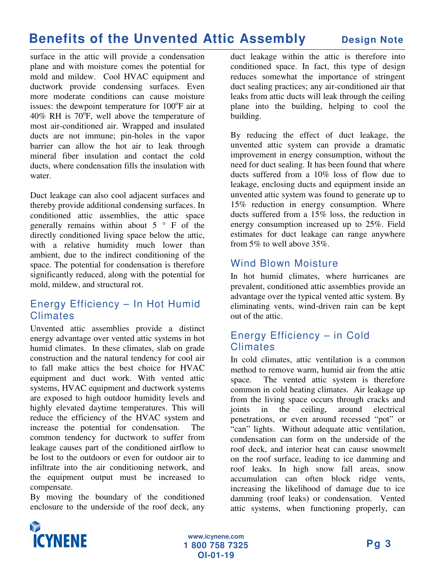surface in the attic will provide a condensation plane and with moisture comes the potential for mold and mildew. Cool HVAC equipment and ductwork provide condensing surfaces. Even more moderate conditions can cause moisture issues: the dewpoint temperature for  $100^{\circ}$ F air at 40% RH is  $70^{\circ}$ F, well above the temperature of most air-conditioned air. Wrapped and insulated ducts are not immune; pin-holes in the vapor barrier can allow the hot air to leak through mineral fiber insulation and contact the cold ducts, where condensation fills the insulation with water.

Duct leakage can also cool adjacent surfaces and thereby provide additional condensing surfaces. In conditioned attic assemblies, the attic space generally remains within about  $5 \circ F$  of the directly conditioned living space below the attic, with a relative humidity much lower than ambient, due to the indirect conditioning of the space. The potential for condensation is therefore significantly reduced, along with the potential for mold, mildew, and structural rot.

#### Energy Efficiency – In Hot Humid Climates

Unvented attic assemblies provide a distinct energy advantage over vented attic systems in hot humid climates. In these climates, slab on grade construction and the natural tendency for cool air to fall make attics the best choice for HVAC equipment and duct work. With vented attic systems, HVAC equipment and ductwork systems are exposed to high outdoor humidity levels and highly elevated daytime temperatures. This will reduce the efficiency of the HVAC system and increase the potential for condensation. The common tendency for ductwork to suffer from leakage causes part of the conditioned airflow to be lost to the outdoors or even for outdoor air to infiltrate into the air conditioning network, and the equipment output must be increased to compensate.

By moving the boundary of the conditioned enclosure to the underside of the roof deck, any

duct leakage within the attic is therefore into conditioned space. In fact, this type of design reduces somewhat the importance of stringent duct sealing practices; any air-conditioned air that leaks from attic ducts will leak through the ceiling plane into the building, helping to cool the building.

By reducing the effect of duct leakage, the unvented attic system can provide a dramatic improvement in energy consumption, without the need for duct sealing. It has been found that where ducts suffered from a 10% loss of flow due to leakage, enclosing ducts and equipment inside an unvented attic system was found to generate up to 15% reduction in energy consumption. Where ducts suffered from a 15% loss, the reduction in energy consumption increased up to 25%. Field estimates for duct leakage can range anywhere from 5% to well above 35%.

#### Wind Blown Moisture

In hot humid climates, where hurricanes are prevalent, conditioned attic assemblies provide an advantage over the typical vented attic system. By eliminating vents, wind-driven rain can be kept out of the attic.

#### Energy Efficiency – in Cold Climates

In cold climates, attic ventilation is a common method to remove warm, humid air from the attic space. The vented attic system is therefore common in cold heating climates. Air leakage up from the living space occurs through cracks and joints in the ceiling, around electrical penetrations, or even around recessed "pot" or "can" lights. Without adequate attic ventilation, condensation can form on the underside of the roof deck, and interior heat can cause snowmelt on the roof surface, leading to ice damming and roof leaks. In high snow fall areas, snow accumulation can often block ridge vents, increasing the likelihood of damage due to ice damming (roof leaks) or condensation. Vented attic systems, when functioning properly, can

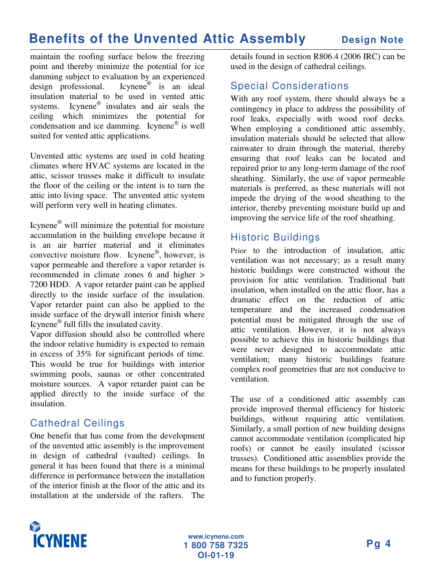maintain the roofing surface below the freezing point and thereby minimize the potential for ice damming subject to evaluation by an experienced design professional. Icynene<sup>®</sup> is an ideal insulation material to be used in vented attic systems. Icynene<sup>®</sup> insulates and air seals the ceiling which minimizes the potential for condensation and ice damming. Icynene® is well suited for vented attic applications.

Unvented attic systems are used in cold heating climates where HVAC systems are located in the attic, scissor trusses make it difficult to insulate the floor of the ceiling or the intent is to turn the attic into living space. The unvented attic system will perform very well in heating climates.

Icynene<sup>®</sup> will minimize the potential for moisture accumulation in the building envelope because it is an air barrier material and it eliminates convective moisture flow. Icynene<sup>®</sup>, however, is vapor permeable and therefore a vapor retarder is recommended in climate zones 6 and higher > 7200 HDD. A vapor retarder paint can be applied directly to the inside surface of the insulation. Vapor retarder paint can also be applied to the inside surface of the drywall interior finish where Icynene ® full fills the insulated cavity.

Vapor diffusion should also be controlled where the indoor relative humidity is expected to remain in excess of 35% for significant periods of time. This would be true for buildings with interior swimming pools, saunas or other concentrated moisture sources. A vapor retarder paint can be applied directly to the inside surface of the insulation.

#### Cathedral Ceilings

One benefit that has come from the development of the unvented attic assembly is the improvement in design of cathedral (vaulted) ceilings. In general it has been found that there is a minimal difference in performance between the installation of the interior finish at the floor of the attic and its installation at the underside of the rafters. The

details found in section R806.4 (2006 IRC) can be used in the design of cathedral ceilings.

#### Special Considerations

With any roof system, there should always be a contingency in place to address the possibility of roof leaks, especially with wood roof decks. When employing a conditioned attic assembly, insulation materials should be selected that allow rainwater to drain through the material, thereby ensuring that roof leaks can be located and repaired prior to any long-term damage of the roof sheathing. Similarly, the use of vapor permeable materials is preferred, as these materials will not impede the drying of the wood sheathing to the interior, thereby preventing moisture build up and improving the service life of the roof sheathing.

#### Historic Buildings

Prior to the introduction of insulation, attic ventilation was not necessary; as a result many historic buildings were constructed without the provision for attic ventilation. Traditional batt insulation, when installed on the attic floor, has a dramatic effect on the reduction of attic temperature and the increased condensation potential must be mitigated through the use of attic ventilation. However, it is not always possible to achieve this in historic buildings that were never designed to accommodate attic ventilation; many historic buildings feature complex roof geometries that are not conducive to ventilation.

The use of a conditioned attic assembly can provide improved thermal efficiency for historic buildings, without requiring attic ventilation. Similarly, a small portion of new building designs cannot accommodate ventilation (complicated hip roofs) or cannot be easily insulated (scissor trusses). Conditioned attic assemblies provide the means for these buildings to be properly insulated and to function properly.

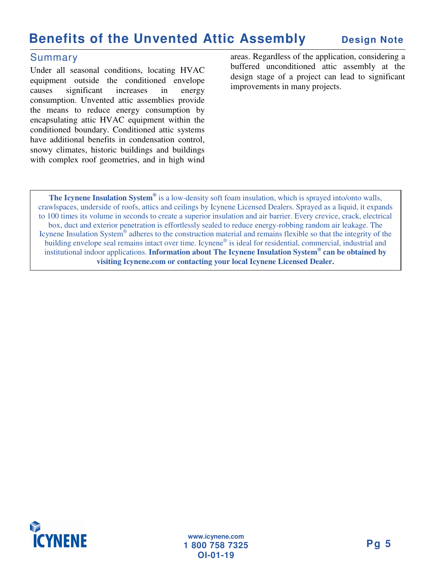#### Summary

Under all seasonal conditions, locating HVAC equipment outside the conditioned envelope causes significant increases in energy consumption. Unvented attic assemblies provide the means to reduce energy consumption by encapsulating attic HVAC equipment within the conditioned boundary. Conditioned attic systems have additional benefits in condensation control, snowy climates, historic buildings and buildings with complex roof geometries, and in high wind areas. Regardless of the application, considering a buffered unconditioned attic assembly at the design stage of a project can lead to significant improvements in many projects.

**The Icynene Insulation System ®** is a low-density soft foam insulation, which is sprayed into/onto walls, crawlspaces, underside of roofs, attics and ceilings by Icynene Licensed Dealers. Sprayed as a liquid, it expands to 100 times its volume in seconds to create a superior insulation and air barrier. Every crevice, crack, electrical box, duct and exterior penetration is effortlessly sealed to reduce energy-robbing random air leakage. The Icynene Insulation System® adheres to the construction material and remains flexible so that the integrity of the building envelope seal remains intact over time. Icynene® is ideal for residential, commercial, industrial and institutional indoor applications. **Information about The Icynene Insulation System ® can be obtained by visiting Icynene.com or contacting your local Icynene Licensed Dealer.**

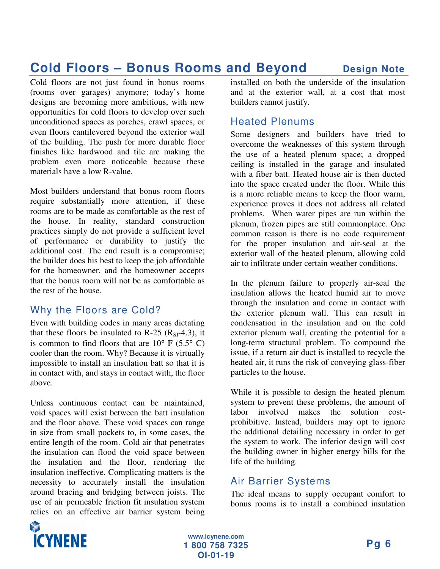### **Cold Floors – Bonus Rooms and Beyond Design Note**

Cold floors are not just found in bonus rooms (rooms over garages) anymore; today's home designs are becoming more ambitious, with new opportunities for cold floors to develop over such unconditioned spaces as porches, crawl spaces, or even floors cantilevered beyond the exterior wall of the building. The push for more durable floor finishes like hardwood and tile are making the problem even more noticeable because these materials have a low R-value.

Most builders understand that bonus room floors require substantially more attention, if these rooms are to be made as comfortable as the rest of the house. In reality, standard construction practices simply do not provide a sufficient level of performance or durability to justify the additional cost. The end result is a compromise; the builder does his best to keep the job affordable for the homeowner, and the homeowner accepts that the bonus room will not be as comfortable as the rest of the house.

#### Why the Floors are Cold?

Even with building codes in many areas dictating that these floors be insulated to R-25  $(R<sub>SI</sub>-4.3)$ , it is common to find floors that are  $10^{\circ}$  F (5.5° C) cooler than the room. Why? Because it is virtually impossible to install an insulation batt so that it is in contact with, and stays in contact with, the floor above.

Unless continuous contact can be maintained, void spaces will exist between the batt insulation and the floor above. These void spaces can range in size from small pockets to, in some cases, the entire length of the room. Cold air that penetrates the insulation can flood the void space between the insulation and the floor, rendering the insulation ineffective. Complicating matters is the necessity to accurately install the insulation around bracing and bridging between joists. The use of air permeable friction fit insulation system relies on an effective air barrier system being installed on both the underside of the insulation and at the exterior wall, at a cost that most builders cannot justify.

#### Heated Plenums

Some designers and builders have tried to overcome the weaknesses of this system through the use of a heated plenum space; a dropped ceiling is installed in the garage and insulated with a fiber batt. Heated house air is then ducted into the space created under the floor. While this is a more reliable means to keep the floor warm, experience proves it does not address all related problems. When water pipes are run within the plenum, frozen pipes are still commonplace. One common reason is there is no code requirement for the proper insulation and air-seal at the exterior wall of the heated plenum, allowing cold air to infiltrate under certain weather conditions.

In the plenum failure to properly air-seal the insulation allows the heated humid air to move through the insulation and come in contact with the exterior plenum wall. This can result in condensation in the insulation and on the cold exterior plenum wall, creating the potential for a long-term structural problem. To compound the issue, if a return air duct is installed to recycle the heated air, it runs the risk of conveying glass-fiber particles to the house.

While it is possible to design the heated plenum system to prevent these problems, the amount of labor involved makes the solution costprohibitive. Instead, builders may opt to ignore the additional detailing necessary in order to get the system to work. The inferior design will cost the building owner in higher energy bills for the life of the building.

### Air Barrier Systems

The ideal means to supply occupant comfort to bonus rooms is to install a combined insulation

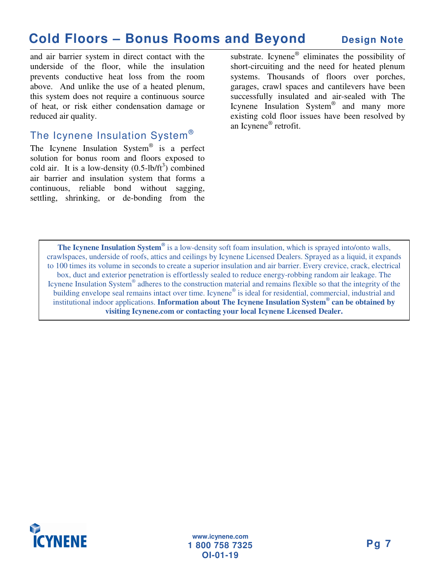### **Cold Floors – Bonus Rooms and Beyond Design Note**

and air barrier system in direct contact with the underside of the floor, while the insulation prevents conductive heat loss from the room above. And unlike the use of a heated plenum, this system does not require a continuous source of heat, or risk either condensation damage or reduced air quality.

#### The Icynene Insulation System $^\circ$

The Icynene Insulation System<sup>®</sup> is a perfect solution for bonus room and floors exposed to cold air. It is a low-density  $(0.5$ -lb/ft<sup>3</sup>) combined air barrier and insulation system that forms a continuous, reliable bond without sagging, settling, shrinking, or de-bonding from the

substrate. Icynene<sup>®</sup> eliminates the possibility of short-circuiting and the need for heated plenum systems. Thousands of floors over porches, garages, crawl spaces and cantilevers have been successfully insulated and air-sealed with The Icynene Insulation System<sup>®</sup> and many more existing cold floor issues have been resolved by an Icynene ® retrofit.

**The Icynene Insulation System ®** is a low-density soft foam insulation, which is sprayed into/onto walls, crawlspaces, underside of roofs, attics and ceilings by Icynene Licensed Dealers. Sprayed as a liquid, it expands to 100 times its volume in seconds to create a superior insulation and air barrier. Every crevice, crack, electrical box, duct and exterior penetration is effortlessly sealed to reduce energy-robbing random air leakage. The Icynene Insulation System® adheres to the construction material and remains flexible so that the integrity of the building envelope seal remains intact over time. Icynene® is ideal for residential, commercial, industrial and institutional indoor applications. **Information about The Icynene Insulation System ® can be obtained by visiting Icynene.com or contacting your local Icynene Licensed Dealer.**

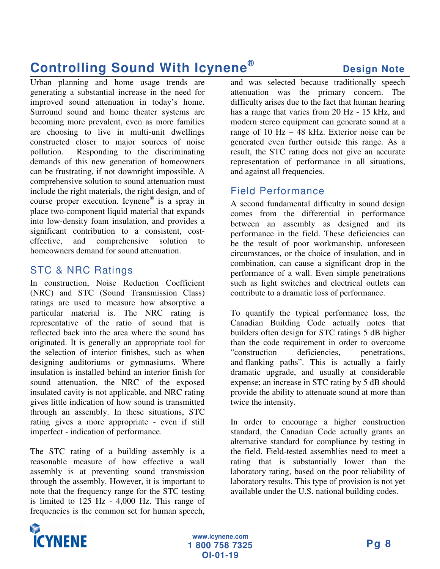### **Controlling Sound With Icynene ®**

Urban planning and home usage trends are generating a substantial increase in the need for improved sound attenuation in today's home. Surround sound and home theater systems are becoming more prevalent, even as more families are choosing to live in multi-unit dwellings constructed closer to major sources of noise pollution. Responding to the discriminating demands of this new generation of homeowners can be frustrating, if not downright impossible. A comprehensive solution to sound attenuation must include the right materials, the right design, and of course proper execution. Icynene ® is a spray in place two-component liquid material that expands into low-density foam insulation, and provides a significant contribution to a consistent, costeffective, and comprehensive solution to homeowners demand for sound attenuation.

#### STC & NRC Ratings

In construction, Noise Reduction Coefficient (NRC) and STC (Sound Transmission Class) ratings are used to measure how absorptive a particular material is. The NRC rating is representative of the ratio of sound that is reflected back into the area where the sound has originated. It is generally an appropriate tool for the selection of interior finishes, such as when designing auditoriums or gymnasiums. Where insulation is installed behind an interior finish for sound attenuation, the NRC of the exposed insulated cavity is not applicable, and NRC rating gives little indication of how sound is transmitted through an assembly. In these situations, STC rating gives a more appropriate - even if still imperfect - indication of performance.

The STC rating of a building assembly is a reasonable measure of how effective a wall assembly is at preventing sound transmission through the assembly. However, it is important to note that the frequency range for the STC testing is limited to 125 Hz - 4,000 Hz. This range of frequencies is the common set for human speech,

and was selected because traditionally speech attenuation was the primary concern. The difficulty arises due to the fact that human hearing has a range that varies from 20 Hz - 15 kHz, and modern stereo equipment can generate sound at a range of 10 Hz – 48 kHz. Exterior noise can be generated even further outside this range. As a result, the STC rating does not give an accurate representation of performance in all situations, and against all frequencies.

#### Field Performance

A second fundamental difficulty in sound design comes from the differential in performance between an assembly as designed and its performance in the field. These deficiencies can be the result of poor workmanship, unforeseen circumstances, or the choice of insulation, and in combination, can cause a significant drop in the performance of a wall. Even simple penetrations such as light switches and electrical outlets can contribute to a dramatic loss of performance.

To quantify the typical performance loss, the Canadian Building Code actually notes that builders often design for STC ratings 5 dB higher than the code requirement in order to overcome "construction deficiencies, penetrations, and flanking paths". This is actually a fairly dramatic upgrade, and usually at considerable expense; an increase in STC rating by 5 dB should provide the ability to attenuate sound at more than twice the intensity.

In order to encourage a higher construction standard, the Canadian Code actually grants an alternative standard for compliance by testing in the field. Field-tested assemblies need to meet a rating that is substantially lower than the laboratory rating, based on the poor reliability of laboratory results. This type of provision is not yet available under the U.S. national building codes.

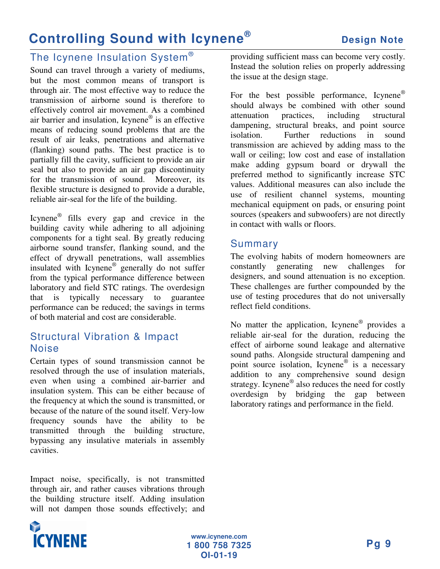### **Controlling Sound with Icynene ®**

#### The Icynene Insulation System $^\circ$

Sound can travel through a variety of mediums, but the most common means of transport is through air. The most effective way to reduce the transmission of airborne sound is therefore to effectively control air movement. As a combined air barrier and insulation, Icynene ® is an effective means of reducing sound problems that are the result of air leaks, penetrations and alternative (flanking) sound paths. The best practice is to partially fill the cavity, sufficient to provide an air seal but also to provide an air gap discontinuity for the transmission of sound. Moreover, its flexible structure is designed to provide a durable, reliable air-seal for the life of the building.

Icynene ® fills every gap and crevice in the building cavity while adhering to all adjoining components for a tight seal. By greatly reducing airborne sound transfer, flanking sound, and the effect of drywall penetrations, wall assemblies insulated with Icynene® generally do not suffer from the typical performance difference between laboratory and field STC ratings. The overdesign that is typically necessary to guarantee performance can be reduced; the savings in terms of both material and cost are considerable.

#### Structural Vibration & Impact Noise

Certain types of sound transmission cannot be resolved through the use of insulation materials, even when using a combined air-barrier and insulation system. This can be either because of the frequency at which the sound is transmitted, or because of the nature of the sound itself. Very-low frequency sounds have the ability to be transmitted through the building structure, bypassing any insulative materials in assembly cavities.

Impact noise, specifically, is not transmitted through air, and rather causes vibrations through the building structure itself. Adding insulation will not dampen those sounds effectively; and providing sufficient mass can become very costly. Instead the solution relies on properly addressing the issue at the design stage.

For the best possible performance, Icynene® should always be combined with other sound attenuation practices, including structural dampening, structural breaks, and point source isolation. Further reductions in sound transmission are achieved by adding mass to the wall or ceiling; low cost and ease of installation make adding gypsum board or drywall the preferred method to significantly increase STC values. Additional measures can also include the use of resilient channel systems, mounting mechanical equipment on pads, or ensuring point sources (speakers and subwoofers) are not directly in contact with walls or floors.

#### Summary

The evolving habits of modern homeowners are constantly generating new challenges for designers, and sound attenuation is no exception. These challenges are further compounded by the use of testing procedures that do not universally reflect field conditions.

No matter the application, Icynene<sup>®</sup> provides a reliable air-seal for the duration, reducing the effect of airborne sound leakage and alternative sound paths. Alongside structural dampening and point source isolation, Icynene<sup>®</sup> is a necessary addition to any comprehensive sound design strategy. Icynene<sup>®</sup> also reduces the need for costly overdesign by bridging the gap between laboratory ratings and performance in the field.

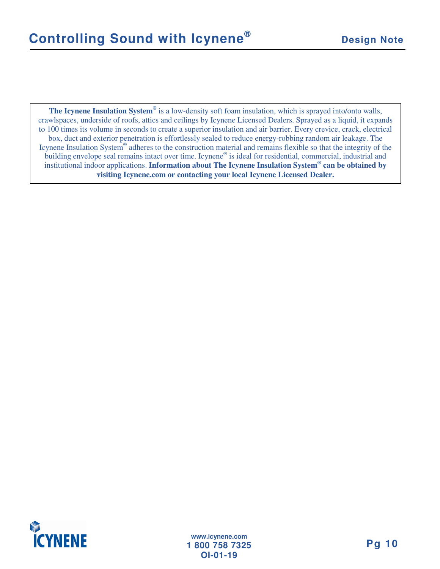**The Icynene Insulation System ®** is a low-density soft foam insulation, which is sprayed into/onto walls, crawlspaces, underside of roofs, attics and ceilings by Icynene Licensed Dealers. Sprayed as a liquid, it expands to 100 times its volume in seconds to create a superior insulation and air barrier. Every crevice, crack, electrical box, duct and exterior penetration is effortlessly sealed to reduce energy-robbing random air leakage. The Icynene Insulation System® adheres to the construction material and remains flexible so that the integrity of the building envelope seal remains intact over time. Icynene® is ideal for residential, commercial, industrial and institutional indoor applications. **Information about The Icynene Insulation System ® can be obtained by visiting Icynene.com or contacting your local Icynene Licensed Dealer.**

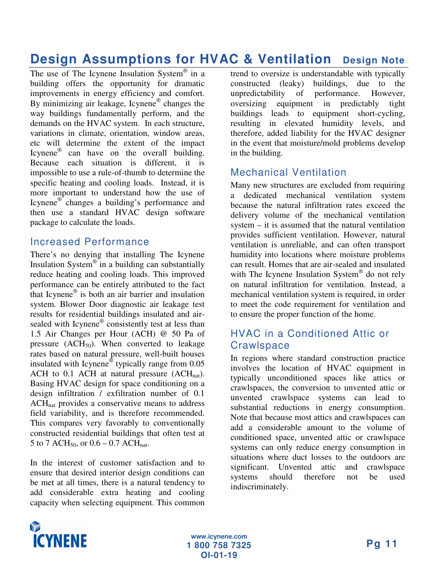### **Design Assumptions for HVAC & Ventilation Design Note**

The use of The Icynene Insulation System® in a building offers the opportunity for dramatic improvements in energy efficiency and comfort. By minimizing air leakage, Icynene ® changes the way buildings fundamentally perform, and the demands on the HVAC system. In each structure, variations in climate, orientation, window areas, etc will determine the extent of the impact Icynene<sup>®</sup> can have on the overall building. Because each situation is different, it is impossible to use a rule-of-thumb to determine the specific heating and cooling loads. Instead, it is more important to understand how the use of Icynene ® changes a building's performance and then use a standard HVAC design software package to calculate the loads.

#### Increased Performance

There's no denying that installing The Icynene Insulation System® in a building can substantially reduce heating and cooling loads. This improved performance can be entirely attributed to the fact that Icynene ® is both an air barrier and insulation system. Blower Door diagnostic air leakage test results for residential buildings insulated and airsealed with Icynene® consistently test at less than 1.5 Air Changes per Hour (ACH) @ 50 Pa of pressure  $(ACH_{50})$ . When converted to leakage rates based on natural pressure, well-built houses insulated with Icynene® typically range from 0.05 ACH to 0.1 ACH at natural pressure  $(ACH_{nat})$ . Basing HVAC design for space conditioning on a design infiltration / exfiltration number of 0.1 ACH<sub>nat</sub> provides a conservative means to address field variability, and is therefore recommended. This compares very favorably to conventionally constructed residential buildings that often test at 5 to 7 ACH<sub>50</sub>, or  $0.6 - 0.7$  ACH<sub>nat</sub>.

In the interest of customer satisfaction and to ensure that desired interior design conditions can be met at all times, there is a natural tendency to add considerable extra heating and cooling capacity when selecting equipment. This common

trend to oversize is understandable with typically constructed (leaky) buildings, due to the unpredictability of performance. However, oversizing equipment in predictably tight buildings leads to equipment short-cycling, resulting in elevated humidity levels, and therefore, added liability for the HVAC designer in the event that moisture/mold problems develop in the building.

#### Mechanical Ventilation

Many new structures are excluded from requiring a dedicated mechanical ventilation system because the natural infiltration rates exceed the delivery volume of the mechanical ventilation system – it is assumed that the natural ventilation provides sufficient ventilation. However, natural ventilation is unreliable, and can often transport humidity into locations where moisture problems can result. Homes that are air-sealed and insulated with The Icynene Insulation System® do not rely on natural infiltration for ventilation. Instead, a mechanical ventilation system is required, in order to meet the code requirement for ventilation and to ensure the proper function of the home.

#### HVAC in a Conditioned Attic or **Crawlspace**

In regions where standard construction practice involves the location of HVAC equipment in typically unconditioned spaces like attics or crawlspaces, the conversion to unvented attic or unvented crawlspace systems can lead to substantial reductions in energy consumption. Note that because most attics and crawlspaces can add a considerable amount to the volume of conditioned space, unvented attic or crawlspace systems can only reduce energy consumption in situations where duct losses to the outdoors are significant. Unvented attic and crawlspace systems should therefore not be used indiscriminately.

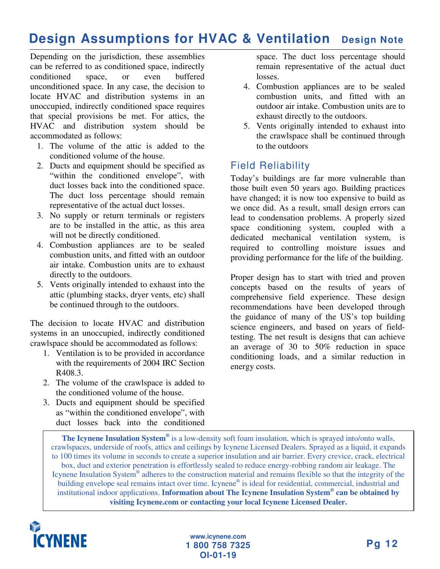### **Design Assumptions for HVAC & Ventilation Design Note**

Depending on the jurisdiction, these assemblies can be referred to as conditioned space, indirectly conditioned space, or even buffered unconditioned space. In any case, the decision to locate HVAC and distribution systems in an unoccupied, indirectly conditioned space requires that special provisions be met. For attics, the HVAC and distribution system should be accommodated as follows:

- 1. The volume of the attic is added to the conditioned volume of the house.
- 2. Ducts and equipment should be specified as "within the conditioned envelope", with duct losses back into the conditioned space. The duct loss percentage should remain representative of the actual duct losses.
- 3. No supply or return terminals or registers are to be installed in the attic, as this area will not be directly conditioned.
- 4. Combustion appliances are to be sealed combustion units, and fitted with an outdoor air intake. Combustion units are to exhaust directly to the outdoors.
- 5. Vents originally intended to exhaust into the attic (plumbing stacks, dryer vents, etc) shall be continued through to the outdoors.

The decision to locate HVAC and distribution systems in an unoccupied, indirectly conditioned crawlspace should be accommodated as follows:

- 1. Ventilation is to be provided in accordance with the requirements of 2004 IRC Section R408.3.
- 2. The volume of the crawlspace is added to the conditioned volume of the house.
- 3. Ducts and equipment should be specified as "within the conditioned envelope", with duct losses back into the conditioned

space. The duct loss percentage should remain representative of the actual duct losses.

- 4. Combustion appliances are to be sealed combustion units, and fitted with an outdoor air intake. Combustion units are to exhaust directly to the outdoors.
- 5. Vents originally intended to exhaust into the crawlspace shall be continued through to the outdoors

#### Field Reliability

Today's buildings are far more vulnerable than those built even 50 years ago. Building practices have changed; it is now too expensive to build as we once did. As a result, small design errors can lead to condensation problems. A properly sized space conditioning system, coupled with a dedicated mechanical ventilation system, is required to controlling moisture issues and providing performance for the life of the building.

Proper design has to start with tried and proven concepts based on the results of years of comprehensive field experience. These design recommendations have been developed through the guidance of many of the US's top building science engineers, and based on years of fieldtesting. The net result is designs that can achieve an average of 30 to 50% reduction in space conditioning loads, and a similar reduction in energy costs.

**The Icynene Insulation System ®** is a low-density soft foam insulation, which is sprayed into/onto walls, crawlspaces, underside of roofs, attics and ceilings by Icynene Licensed Dealers. Sprayed as a liquid, it expands to 100 times its volume in seconds to create a superior insulation and air barrier. Every crevice, crack, electrical box, duct and exterior penetration is effortlessly sealed to reduce energy-robbing random air leakage. The Icynene Insulation System® adheres to the construction material and remains flexible so that the integrity of the building envelope seal remains intact over time. Icynene® is ideal for residential, commercial, industrial and institutional indoor applications. **Information about The Icynene Insulation System ® can be obtained by visiting Icynene.com or contacting your local Icynene Licensed Dealer.**

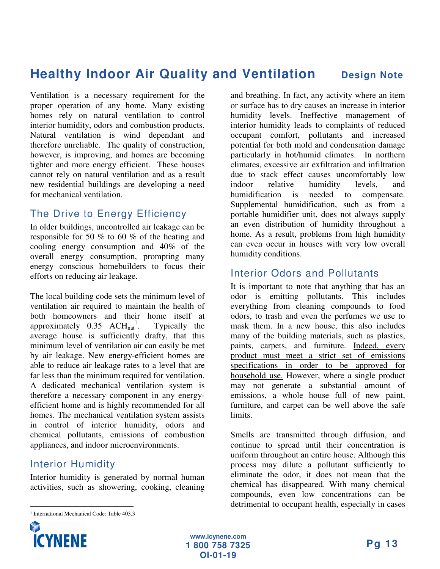### **Healthy Indoor Air Quality and Ventilation Design Note**

Ventilation is a necessary requirement for the proper operation of any home. Many existing homes rely on natural ventilation to control interior humidity, odors and combustion products. Natural ventilation is wind dependant and therefore unreliable. The quality of construction, however, is improving, and homes are becoming tighter and more energy efficient. These houses cannot rely on natural ventilation and as a result new residential buildings are developing a need for mechanical ventilation.

#### The Drive to Energy Efficiency

In older buildings, uncontrolled air leakage can be responsible for 50 % to 60 % of the heating and cooling energy consumption and 40% of the overall energy consumption, prompting many energy conscious homebuilders to focus their efforts on reducing air leakage.

The local building code sets the minimum level of ventilation air required to maintain the health of both homeowners and their home itself at approximately  $0.35$  ACH<sub>nat</sub><sup>1</sup> Typically the average house is sufficiently drafty, that this minimum level of ventilation air can easily be met by air leakage. New energy-efficient homes are able to reduce air leakage rates to a level that are far less than the minimum required for ventilation. A dedicated mechanical ventilation system is therefore a necessary component in any energyefficient home and is highly recommended for all homes. The mechanical ventilation system assists in control of interior humidity, odors and chemical pollutants, emissions of combustion appliances, and indoor microenvironments.

#### Interior Humidity

Interior humidity is generated by normal human activities, such as showering, cooking, cleaning

and breathing. In fact, any activity where an item or surface has to dry causes an increase in interior humidity levels. Ineffective management of interior humidity leads to complaints of reduced occupant comfort, pollutants and increased potential for both mold and condensation damage particularly in hot/humid climates. In northern climates, excessive air exfiltration and infiltration due to stack effect causes uncomfortably low indoor relative humidity levels, and<br>humidification is needed to compensate. here is needed to compensate. Supplemental humidification, such as from a portable humidifier unit, does not always supply an even distribution of humidity throughout a home. As a result, problems from high humidity can even occur in houses with very low overall humidity conditions.

#### Interior Odors and Pollutants

It is important to note that anything that has an odor is emitting pollutants. This includes everything from cleaning compounds to food odors, to trash and even the perfumes we use to mask them. In a new house, this also includes many of the building materials, such as plastics, paints, carpets, and furniture. Indeed, every product must meet a strict set of emissions specifications in order to be approved for household use. However, where a single product may not generate a substantial amount of emissions, a whole house full of new paint, furniture, and carpet can be well above the safe limits.

Smells are transmitted through diffusion, and continue to spread until their concentration is uniform throughout an entire house. Although this process may dilute a pollutant sufficiently to eliminate the odor, it does not mean that the chemical has disappeared. With many chemical compounds, even low concentrations can be detrimental to occupant health, especially in cases

<sup>&</sup>lt;u> Alexandria de la contrada de la contrada de la contrada de la contrada de la contrada de la contrada de la c</u> <sup>1</sup> International Mechanical Code: Table 403.3

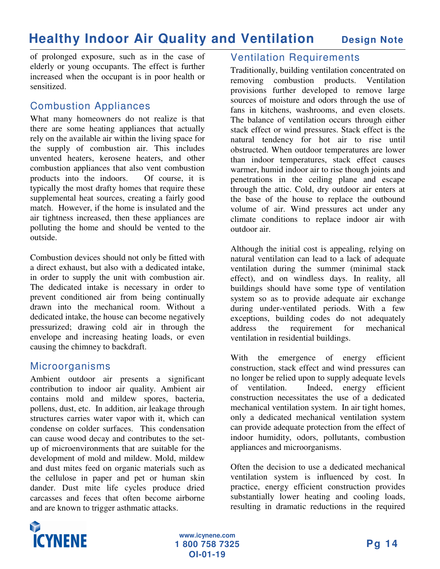### **Healthy Indoor Air Quality and Ventilation Design Note**

of prolonged exposure, such as in the case of elderly or young occupants. The effect is further increased when the occupant is in poor health or sensitized.

#### Combustion Appliances

What many homeowners do not realize is that there are some heating appliances that actually rely on the available air within the living space for the supply of combustion air. This includes unvented heaters, kerosene heaters, and other combustion appliances that also vent combustion products into the indoors. Of course, it is typically the most drafty homes that require these supplemental heat sources, creating a fairly good match. However, if the home is insulated and the air tightness increased, then these appliances are polluting the home and should be vented to the outside.

Combustion devices should not only be fitted with a direct exhaust, but also with a dedicated intake, in order to supply the unit with combustion air. The dedicated intake is necessary in order to prevent conditioned air from being continually drawn into the mechanical room. Without a dedicated intake, the house can become negatively pressurized; drawing cold air in through the envelope and increasing heating loads, or even causing the chimney to backdraft.

#### Microorganisms

Ambient outdoor air presents a significant contribution to indoor air quality. Ambient air contains mold and mildew spores, bacteria, pollens, dust, etc. In addition, air leakage through structures carries water vapor with it, which can condense on colder surfaces. This condensation can cause wood decay and contributes to the setup of microenvironments that are suitable for the development of mold and mildew. Mold, mildew and dust mites feed on organic materials such as the cellulose in paper and pet or human skin dander. Dust mite life cycles produce dried carcasses and feces that often become airborne and are known to trigger asthmatic attacks.

#### Ventilation Requirements

Traditionally, building ventilation concentrated on removing combustion products. Ventilation provisions further developed to remove large sources of moisture and odors through the use of fans in kitchens, washrooms, and even closets. The balance of ventilation occurs through either stack effect or wind pressures. Stack effect is the natural tendency for hot air to rise until obstructed. When outdoor temperatures are lower than indoor temperatures, stack effect causes warmer, humid indoor air to rise though joints and penetrations in the ceiling plane and escape through the attic. Cold, dry outdoor air enters at the base of the house to replace the outbound volume of air. Wind pressures act under any climate conditions to replace indoor air with outdoor air.

Although the initial cost is appealing, relying on natural ventilation can lead to a lack of adequate ventilation during the summer (minimal stack effect), and on windless days. In reality, all buildings should have some type of ventilation system so as to provide adequate air exchange during under-ventilated periods. With a few exceptions, building codes do not adequately address the requirement for mechanical ventilation in residential buildings.

With the emergence of energy efficient construction, stack effect and wind pressures can no longer be relied upon to supply adequate levels of ventilation. Indeed, energy efficient construction necessitates the use of a dedicated mechanical ventilation system. In air tight homes, only a dedicated mechanical ventilation system can provide adequate protection from the effect of indoor humidity, odors, pollutants, combustion appliances and microorganisms.

Often the decision to use a dedicated mechanical ventilation system is influenced by cost. In practice, energy efficient construction provides substantially lower heating and cooling loads, resulting in dramatic reductions in the required

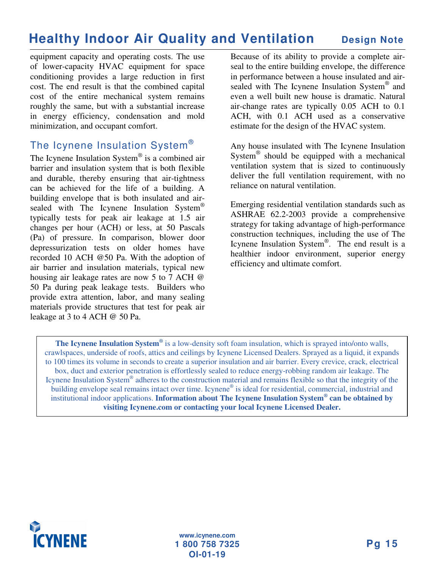### **Healthy Indoor Air Quality and Ventilation Design Note**

equipment capacity and operating costs. The use of lower-capacity HVAC equipment for space conditioning provides a large reduction in first cost. The end result is that the combined capital cost of the entire mechanical system remains roughly the same, but with a substantial increase in energy efficiency, condensation and mold minimization, and occupant comfort.

#### The Icynene Insulation System $^\circ$

The Icynene Insulation System® is a combined air barrier and insulation system that is both flexible and durable, thereby ensuring that air-tightness can be achieved for the life of a building. A building envelope that is both insulated and airsealed with The Icynene Insulation System® typically tests for peak air leakage at 1.5 air changes per hour (ACH) or less, at 50 Pascals (Pa) of pressure. In comparison, blower door depressurization tests on older homes have recorded 10 ACH @50 Pa. With the adoption of air barrier and insulation materials, typical new housing air leakage rates are now 5 to 7 ACH @ 50 Pa during peak leakage tests. Builders who provide extra attention, labor, and many sealing materials provide structures that test for peak air leakage at 3 to 4 ACH @ 50 Pa.

Because of its ability to provide a complete airseal to the entire building envelope, the difference in performance between a house insulated and airsealed with The Icynene Insulation System® and even a well built new house is dramatic. Natural air-change rates are typically 0.05 ACH to 0.1 ACH, with 0.1 ACH used as a conservative estimate for the design of the HVAC system.

Any house insulated with The Icynene Insulation System<sup>®</sup> should be equipped with a mechanical ventilation system that is sized to continuously deliver the full ventilation requirement, with no reliance on natural ventilation.

Emerging residential ventilation standards such as ASHRAE 62.2-2003 provide a comprehensive strategy for taking advantage of high-performance construction techniques, including the use of The Icynene Insulation System ® . The end result is a healthier indoor environment, superior energy efficiency and ultimate comfort.

**The Icynene Insulation System ®** is a low-density soft foam insulation, which is sprayed into/onto walls, crawlspaces, underside of roofs, attics and ceilings by Icynene Licensed Dealers. Sprayed as a liquid, it expands to 100 times its volume in seconds to create a superior insulation and air barrier. Every crevice, crack, electrical box, duct and exterior penetration is effortlessly sealed to reduce energy-robbing random air leakage. The Icynene Insulation System® adheres to the construction material and remains flexible so that the integrity of the building envelope seal remains intact over time. Icynene® is ideal for residential, commercial, industrial and institutional indoor applications. **Information about The Icynene Insulation System ® can be obtained by visiting Icynene.com or contacting your local Icynene Licensed Dealer.**

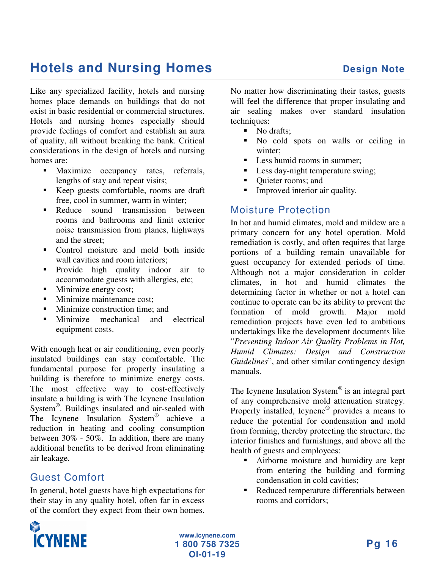## **Hotels and Nursing Homes Design Note**

Like any specialized facility, hotels and nursing homes place demands on buildings that do not exist in basic residential or commercial structures. Hotels and nursing homes especially should provide feelings of comfort and establish an aura of quality, all without breaking the bank. Critical considerations in the design of hotels and nursing homes are:

- Maximize occupancy rates, referrals, lengths of stay and repeat visits;
- Keep guests comfortable, rooms are draft free, cool in summer, warm in winter;
- Reduce sound transmission between rooms and bathrooms and limit exterior noise transmission from planes, highways and the street;
- Control moisture and mold both inside wall cavities and room interiors:
- **Provide** high quality indoor air to accommodate guests with allergies, etc;
- Minimize energy cost;
- **Minimize maintenance cost:**
- **Minimize construction time: and**
- Minimize mechanical and electrical equipment costs.

With enough heat or air conditioning, even poorly insulated buildings can stay comfortable. The fundamental purpose for properly insulating a building is therefore to minimize energy costs. The most effective way to cost-effectively insulate a building is with The Icynene Insulation System<sup>®</sup>. Buildings insulated and air-sealed with The Icynene Insulation System ® achieve a reduction in heating and cooling consumption between 30% - 50%. In addition, there are many additional benefits to be derived from eliminating air leakage.

### Guest Comfort

In general, hotel guests have high expectations for their stay in any quality hotel, often far in excess of the comfort they expect from their own homes.

No matter how discriminating their tastes, guests will feel the difference that proper insulating and air sealing makes over standard insulation techniques:

- No drafts;
- No cold spots on walls or ceiling in winter;
- Less humid rooms in summer;
- Less day-night temperature swing;
- Quieter rooms; and
- **Improved interior air quality.**

#### Moisture Protection

In hot and humid climates, mold and mildew are a primary concern for any hotel operation. Mold remediation is costly, and often requires that large portions of a building remain unavailable for guest occupancy for extended periods of time. Although not a major consideration in colder climates, in hot and humid climates the determining factor in whether or not a hotel can continue to operate can be its ability to prevent the formation of mold growth. Major mold remediation projects have even led to ambitious undertakings like the development documents like "*Preventing Indoor Air Quality Problems in Hot, Humid Climates: Design and Construction Guidelines*", and other similar contingency design manuals.

The Icynene Insulation System ® is an integral part of any comprehensive mold attenuation strategy. Properly installed, Icynene<sup>®</sup> provides a means to reduce the potential for condensation and mold from forming, thereby protecting the structure, the interior finishes and furnishings, and above all the health of guests and employees:

- Airborne moisture and humidity are kept from entering the building and forming condensation in cold cavities;
- Reduced temperature differentials between rooms and corridors;

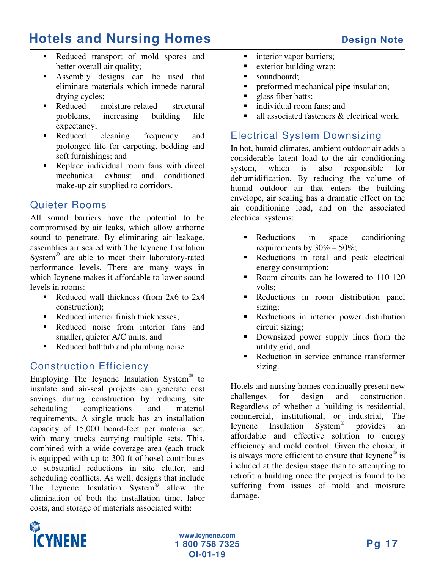## **Hotels and Nursing Homes Design Note**

- Reduced transport of mold spores and better overall air quality;
- Assembly designs can be used that eliminate materials which impede natural drying cycles;
- Reduced moisture-related structural problems, increasing building life expectancy;
- Reduced cleaning frequency and prolonged life for carpeting, bedding and soft furnishings; and
- Replace individual room fans with direct mechanical exhaust and conditioned make-up air supplied to corridors.

#### Quieter Rooms

All sound barriers have the potential to be compromised by air leaks, which allow airborne sound to penetrate. By eliminating air leakage, assemblies air sealed with The Icynene Insulation System<sup>®</sup> are able to meet their laboratory-rated performance levels. There are many ways in which Icynene makes it affordable to lower sound levels in rooms:

- Reduced wall thickness (from  $2x6$  to  $2x4$ construction);
- Reduced interior finish thicknesses:
- Reduced noise from interior fans and smaller, quieter A/C units; and
- Reduced bathtub and plumbing noise

#### Construction Efficiency

Employing The Icynene Insulation System® to insulate and air-seal projects can generate cost savings during construction by reducing site scheduling complications and material requirements. A single truck has an installation capacity of 15,000 board-feet per material set, with many trucks carrying multiple sets. This, combined with a wide coverage area (each truck is equipped with up to 300 ft of hose) contributes to substantial reductions in site clutter, and scheduling conflicts. As well, designs that include The Icynene Insulation System<sup>®</sup> allow the elimination of both the installation time, labor costs, and storage of materials associated with:

- nterior vapor barriers;
- **Exterior building wrap;**
- soundboard;
- **•** preformed mechanical pipe insulation;
- glass fiber batts;
- **individual room fans; and**
- all associated fasteners & electrical work.

#### Electrical System Downsizing

In hot, humid climates, ambient outdoor air adds a considerable latent load to the air conditioning system, which is also responsible for dehumidification. By reducing the volume of humid outdoor air that enters the building envelope, air sealing has a dramatic effect on the air conditioning load, and on the associated electrical systems:

- Reductions in space conditioning requirements by  $30\% - 50\%$ ;
- Reductions in total and peak electrical energy consumption;
- Room circuits can be lowered to 110-120 volts;
- Reductions in room distribution panel sizing;
- Reductions in interior power distribution circuit sizing;
- Downsized power supply lines from the utility grid; and
- Reduction in service entrance transformer sizing.

Hotels and nursing homes continually present new challenges for design and construction. Regardless of whether a building is residential, commercial, institutional, or industrial, The Icynene Insulation ® provides an affordable and effective solution to energy efficiency and mold control. Given the choice, it is always more efficient to ensure that Icynene<sup>®</sup> is included at the design stage than to attempting to retrofit a building once the project is found to be suffering from issues of mold and moisture damage.

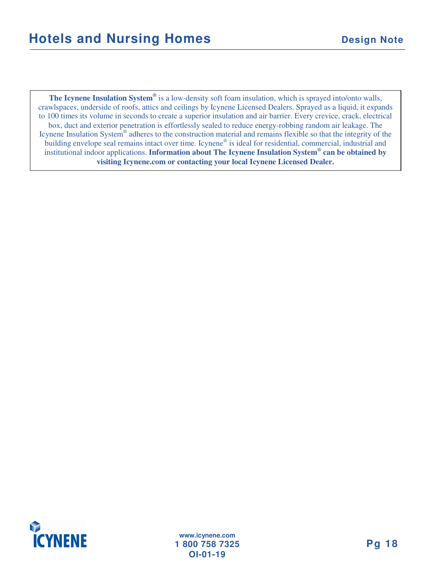**The Icynene Insulation System ®** is a low-density soft foam insulation, which is sprayed into/onto walls, crawlspaces, underside of roofs, attics and ceilings by Icynene Licensed Dealers. Sprayed as a liquid, it expands to 100 times its volume in seconds to create a superior insulation and air barrier. Every crevice, crack, electrical box, duct and exterior penetration is effortlessly sealed to reduce energy-robbing random air leakage. The Icynene Insulation System® adheres to the construction material and remains flexible so that the integrity of the building envelope seal remains intact over time. Icynene® is ideal for residential, commercial, industrial and institutional indoor applications. **Information about The Icynene Insulation System ® can be obtained by visiting Icynene.com or contacting your local Icynene Licensed Dealer.**

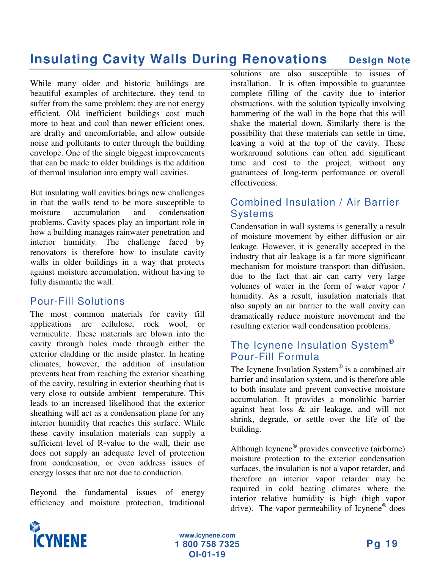### **Insulating Cavity Walls During Renovations** Design Note

While many older and historic buildings are beautiful examples of architecture, they tend to suffer from the same problem: they are not energy efficient. Old inefficient buildings cost much more to heat and cool than newer efficient ones, are drafty and uncomfortable, and allow outside noise and pollutants to enter through the building envelope. One of the single biggest improvements that can be made to older buildings is the addition of thermal insulation into empty wall cavities.

But insulating wall cavities brings new challenges in that the walls tend to be more susceptible to moisture accumulation and condensation problems. Cavity spaces play an important role in how a building manages rainwater penetration and interior humidity. The challenge faced by renovators is therefore how to insulate cavity walls in older buildings in a way that protects against moisture accumulation, without having to fully dismantle the wall.

#### Pour-Fill Solutions

The most common materials for cavity fill applications are cellulose, rock wool, or vermiculite. These materials are blown into the cavity through holes made through either the exterior cladding or the inside plaster. In heating climates, however, the addition of insulation prevents heat from reaching the exterior sheathing of the cavity, resulting in exterior sheathing that is very close to outside ambient temperature. This leads to an increased likelihood that the exterior sheathing will act as a condensation plane for any interior humidity that reaches this surface. While these cavity insulation materials can supply a sufficient level of R-value to the wall, their use does not supply an adequate level of protection from condensation, or even address issues of energy losses that are not due to conduction.

Beyond the fundamental issues of energy efficiency and moisture protection, traditional

solutions are also susceptible to issues of installation. It is often impossible to guarantee complete filling of the cavity due to interior obstructions, with the solution typically involving hammering of the wall in the hope that this will shake the material down. Similarly there is the possibility that these materials can settle in time, leaving a void at the top of the cavity. These workaround solutions can often add significant time and cost to the project, without any guarantees of long-term performance or overall effectiveness.

#### Combined Insulation / Air Barrier Systems

Condensation in wall systems is generally a result of moisture movement by either diffusion or air leakage. However, it is generally accepted in the industry that air leakage is a far more significant mechanism for moisture transport than diffusion, due to the fact that air can carry very large volumes of water in the form of water vapor / humidity. As a result, insulation materials that also supply an air barrier to the wall cavity can dramatically reduce moisture movement and the resulting exterior wall condensation problems.

#### The Icynene Insulation System $^\circ$ Pour-Fill Formula

The Icynene Insulation System® is a combined air barrier and insulation system, and is therefore able to both insulate and prevent convective moisture accumulation. It provides a monolithic barrier against heat loss & air leakage, and will not shrink, degrade, or settle over the life of the building.

Although Icynene ® provides convective (airborne) moisture protection to the exterior condensation surfaces, the insulation is not a vapor retarder, and therefore an interior vapor retarder may be required in cold heating climates where the interior relative humidity is high (high vapor drive). The vapor permeability of Icynene<sup>®</sup> does

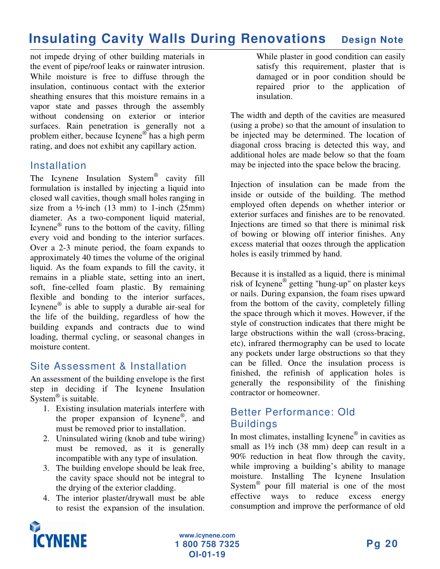### **Insulating Cavity Walls During Renovations Design Note**

not impede drying of other building materials in the event of pipe/roof leaks or rainwater intrusion. While moisture is free to diffuse through the insulation, continuous contact with the exterior sheathing ensures that this moisture remains in a vapor state and passes through the assembly without condensing on exterior or interior surfaces. Rain penetration is generally not a problem either, because Icynene ® has a high perm rating, and does not exhibit any capillary action.

#### **Installation**

The Icynene Insulation System<sup>®</sup> cavity fill formulation is installed by injecting a liquid into closed wall cavities, though small holes ranging in size from a  $\frac{1}{2}$ -inch (13 mm) to 1-inch (25mm) diameter. As a two-component liquid material, Icynene ® runs to the bottom of the cavity, filling every void and bonding to the interior surfaces. Over a 2-3 minute period, the foam expands to approximately 40 times the volume of the original liquid. As the foam expands to fill the cavity, it remains in a pliable state, setting into an inert, soft, fine-celled foam plastic. By remaining flexible and bonding to the interior surfaces, Icynene ® is able to supply a durable air-seal for the life of the building, regardless of how the building expands and contracts due to wind loading, thermal cycling, or seasonal changes in moisture content.

#### Site Assessment & Installation

An assessment of the building envelope is the first step in deciding if The Icynene Insulation System ® is suitable.

- 1. Existing insulation materials interfere with the proper expansion of Icynene®, and must be removed prior to installation.
- 2. Uninsulated wiring (knob and tube wiring) must be removed, as it is generally incompatible with any type of insulation.
- 3. The building envelope should be leak free, the cavity space should not be integral to the drying of the exterior cladding.
- 4. The interior plaster/drywall must be able to resist the expansion of the insulation.

While plaster in good condition can easily satisfy this requirement, plaster that is damaged or in poor condition should be repaired prior to the application of insulation.

The width and depth of the cavities are measured (using a probe) so that the amount of insulation to be injected may be determined. The location of diagonal cross bracing is detected this way, and additional holes are made below so that the foam may be injected into the space below the bracing.

Injection of insulation can be made from the inside or outside of the building. The method employed often depends on whether interior or exterior surfaces and finishes are to be renovated. Injections are timed so that there is minimal risk of bowing or blowing off interior finishes. Any excess material that oozes through the application holes is easily trimmed by hand.

Because it is installed as a liquid, there is minimal risk of Icynene ® getting "hung-up" on plaster keys or nails. During expansion, the foam rises upward from the bottom of the cavity, completely filling the space through which it moves. However, if the style of construction indicates that there might be large obstructions within the wall (cross-bracing, etc), infrared thermography can be used to locate any pockets under large obstructions so that they can be filled. Once the insulation process is finished, the refinish of application holes is generally the responsibility of the finishing contractor or homeowner.

#### Better Performance: Old **Buildings**

In most climates, installing Icynene® in cavities as small as 1½ inch (38 mm) deep can result in a 90% reduction in heat flow through the cavity, while improving a building's ability to manage moisture. Installing The Icynene Insulation System ® pour fill material is one of the most effective ways to reduce excess energy consumption and improve the performance of old

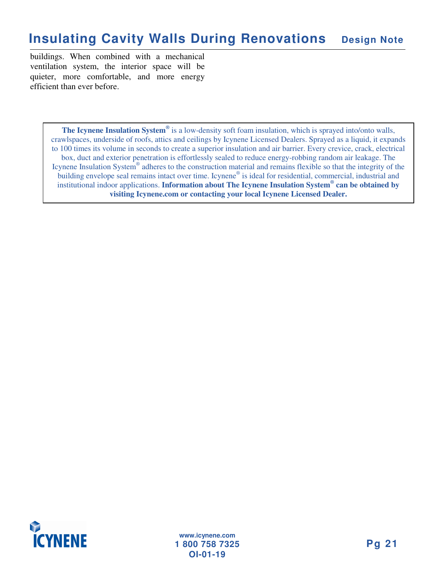### **Insulating Cavity Walls During Renovations Design Note**

buildings. When combined with a mechanical ventilation system, the interior space will be quieter, more comfortable, and more energy efficient than ever before.

> **The Icynene Insulation System ®** is a low-density soft foam insulation, which is sprayed into/onto walls, crawlspaces, underside of roofs, attics and ceilings by Icynene Licensed Dealers. Sprayed as a liquid, it expands to 100 times its volume in seconds to create a superior insulation and air barrier. Every crevice, crack, electrical box, duct and exterior penetration is effortlessly sealed to reduce energy-robbing random air leakage. The Icynene Insulation System® adheres to the construction material and remains flexible so that the integrity of the building envelope seal remains intact over time. Icynene® is ideal for residential, commercial, industrial and institutional indoor applications. **Information about The Icynene Insulation System ® can be obtained by visiting Icynene.com or contacting your local Icynene Licensed Dealer.**

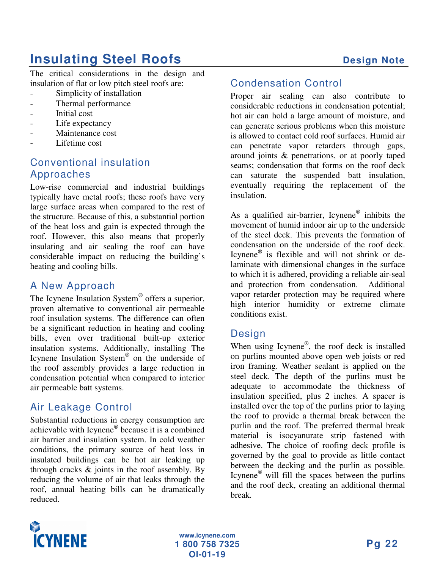## **Insulating Steel Roofs Design Note**

The critical considerations in the design and insulation of flat or low pitch steel roofs are:

- Simplicity of installation
- Thermal performance
- Initial cost
- Life expectancy
- Maintenance cost
- Lifetime cost

#### Conventional insulation Approaches

Low-rise commercial and industrial buildings typically have metal roofs; these roofs have very large surface areas when compared to the rest of the structure. Because of this, a substantial portion of the heat loss and gain is expected through the roof. However, this also means that properly insulating and air sealing the roof can have considerable impact on reducing the building's heating and cooling bills.

#### A New Approach

The Icynene Insulation System® offers a superior, proven alternative to conventional air permeable roof insulation systems. The difference can often be a significant reduction in heating and cooling bills, even over traditional built-up exterior insulation systems. Additionally, installing The Icynene Insulation System ® on the underside of the roof assembly provides a large reduction in condensation potential when compared to interior air permeable batt systems.

#### Air Leakage Control

Substantial reductions in energy consumption are achievable with Icynene ® because it is a combined air barrier and insulation system. In cold weather conditions, the primary source of heat loss in insulated buildings can be hot air leaking up through cracks & joints in the roof assembly. By reducing the volume of air that leaks through the roof, annual heating bills can be dramatically reduced.

#### Condensation Control

Proper air sealing can also contribute to considerable reductions in condensation potential; hot air can hold a large amount of moisture, and can generate serious problems when this moisture is allowed to contact cold roof surfaces. Humid air can penetrate vapor retarders through gaps, around joints & penetrations, or at poorly taped seams; condensation that forms on the roof deck can saturate the suspended batt insulation, eventually requiring the replacement of the insulation.

As a qualified air-barrier, Icynene® inhibits the movement of humid indoor air up to the underside of the steel deck. This prevents the formation of condensation on the underside of the roof deck. Icynene<sup>®</sup> is flexible and will not shrink or delaminate with dimensional changes in the surface to which it is adhered, providing a reliable air-seal and protection from condensation. Additional vapor retarder protection may be required where high interior humidity or extreme climate conditions exist.

#### **Design**

When using Icynene<sup>®</sup>, the roof deck is installed on purlins mounted above open web joists or red iron framing. Weather sealant is applied on the steel deck. The depth of the purlins must be adequate to accommodate the thickness of insulation specified, plus 2 inches. A spacer is installed over the top of the purlins prior to laying the roof to provide a thermal break between the purlin and the roof. The preferred thermal break material is isocyanurate strip fastened with adhesive. The choice of roofing deck profile is governed by the goal to provide as little contact between the decking and the purlin as possible. Icynene ® will fill the spaces between the purlins and the roof deck, creating an additional thermal break.

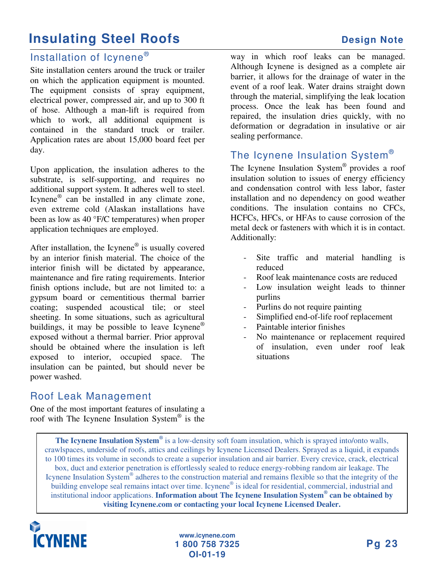### **Insulating Steel Roofs Design Note**

#### Installation of Icynene®

Site installation centers around the truck or trailer on which the application equipment is mounted. The equipment consists of spray equipment, electrical power, compressed air, and up to 300 ft of hose. Although a man-lift is required from which to work, all additional equipment is contained in the standard truck or trailer. Application rates are about 15,000 board feet per day.

Upon application, the insulation adheres to the substrate, is self-supporting, and requires no additional support system. It adheres well to steel. Icynene ® can be installed in any climate zone, even extreme cold (Alaskan installations have been as low as 40 °F/C temperatures) when proper application techniques are employed.

After installation, the Icynene® is usually covered by an interior finish material. The choice of the interior finish will be dictated by appearance, maintenance and fire rating requirements. Interior finish options include, but are not limited to: a gypsum board or cementitious thermal barrier coating; suspended acoustical tile; or steel sheeting. In some situations, such as agricultural buildings, it may be possible to leave Icynene® exposed without a thermal barrier. Prior approval should be obtained where the insulation is left exposed to interior, occupied space. The insulation can be painted, but should never be power washed.

#### Roof Leak Management

One of the most important features of insulating a roof with The Icynene Insulation System ® is the

way in which roof leaks can be managed. Although Icynene is designed as a complete air barrier, it allows for the drainage of water in the event of a roof leak. Water drains straight down through the material, simplifying the leak location process. Once the leak has been found and repaired, the insulation dries quickly, with no deformation or degradation in insulative or air sealing performance.

#### The Icynene Insulation System $^\circ$

The Icynene Insulation System ® provides a roof insulation solution to issues of energy efficiency and condensation control with less labor, faster installation and no dependency on good weather conditions. The insulation contains no CFCs, HCFCs, HFCs, or HFAs to cause corrosion of the metal deck or fasteners with which it is in contact. Additionally:

- Site traffic and material handling is reduced
- Roof leak maintenance costs are reduced
- Low insulation weight leads to thinner purlins
- Purlins do not require painting
- Simplified end-of-life roof replacement
- Paintable interior finishes
- No maintenance or replacement required of insulation, even under roof leak situations

**The Icynene Insulation System ®** is a low-density soft foam insulation, which is sprayed into/onto walls, crawlspaces, underside of roofs, attics and ceilings by Icynene Licensed Dealers. Sprayed as a liquid, it expands to 100 times its volume in seconds to create a superior insulation and air barrier. Every crevice, crack, electrical box, duct and exterior penetration is effortlessly sealed to reduce energy-robbing random air leakage. The Icynene Insulation System® adheres to the construction material and remains flexible so that the integrity of the building envelope seal remains intact over time. Icynene® is ideal for residential, commercial, industrial and institutional indoor applications. **Information about The Icynene Insulation System ® can be obtained by visiting Icynene.com or contacting your local Icynene Licensed Dealer.**

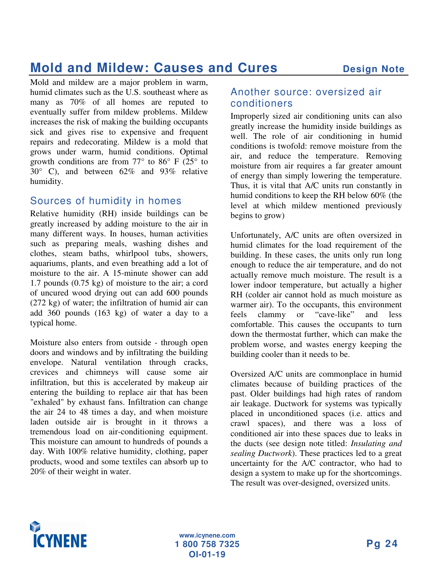### **Mold and Mildew: Causes and Cures Design Note**

Mold and mildew are a major problem in warm, humid climates such as the U.S. southeast where as many as 70% of all homes are reputed to eventually suffer from mildew problems. Mildew increases the risk of making the building occupants sick and gives rise to expensive and frequent repairs and redecorating. Mildew is a mold that grows under warm, humid conditions. Optimal growth conditions are from  $77^{\circ}$  to  $86^{\circ}$  F (25° to 30° C), and between 62% and 93% relative humidity.

#### Sources of humidity in homes

Relative humidity (RH) inside buildings can be greatly increased by adding moisture to the air in many different ways. In houses, human activities such as preparing meals, washing dishes and clothes, steam baths, whirlpool tubs, showers, aquariums, plants, and even breathing add a lot of moisture to the air. A 15-minute shower can add 1.7 pounds (0.75 kg) of moisture to the air; a cord of uncured wood drying out can add 600 pounds (272 kg) of water; the infiltration of humid air can add 360 pounds (163 kg) of water a day to a typical home.

Moisture also enters from outside - through open doors and windows and by infiltrating the building envelope. Natural ventilation through cracks, crevices and chimneys will cause some air infiltration, but this is accelerated by makeup air entering the building to replace air that has been "exhaled" by exhaust fans. Infiltration can change the air 24 to 48 times a day, and when moisture laden outside air is brought in it throws a tremendous load on air-conditioning equipment. This moisture can amount to hundreds of pounds a day. With 100% relative humidity, clothing, paper products, wood and some textiles can absorb up to 20% of their weight in water.

#### Another source: oversized air conditioners

Improperly sized air conditioning units can also greatly increase the humidity inside buildings as well. The role of air conditioning in humid conditions is twofold: remove moisture from the air, and reduce the temperature. Removing moisture from air requires a far greater amount of energy than simply lowering the temperature. Thus, it is vital that A/C units run constantly in humid conditions to keep the RH below 60% (the level at which mildew mentioned previously begins to grow)

Unfortunately, A/C units are often oversized in humid climates for the load requirement of the building. In these cases, the units only run long enough to reduce the air temperature, and do not actually remove much moisture. The result is a lower indoor temperature, but actually a higher RH (colder air cannot hold as much moisture as warmer air). To the occupants, this environment<br>feels clammy or "cave-like" and less feels clammy or "cave-like" and less comfortable. This causes the occupants to turn down the thermostat further, which can make the problem worse, and wastes energy keeping the building cooler than it needs to be.

Oversized A/C units are commonplace in humid climates because of building practices of the past. Older buildings had high rates of random air leakage. Ductwork for systems was typically placed in unconditioned spaces (i.e. attics and crawl spaces), and there was a loss of conditioned air into these spaces due to leaks in the ducts (see design note titled: *Insulating and sealing Ductwork*). These practices led to a great uncertainty for the A/C contractor, who had to design a system to make up for the shortcomings. The result was over-designed, oversized units.

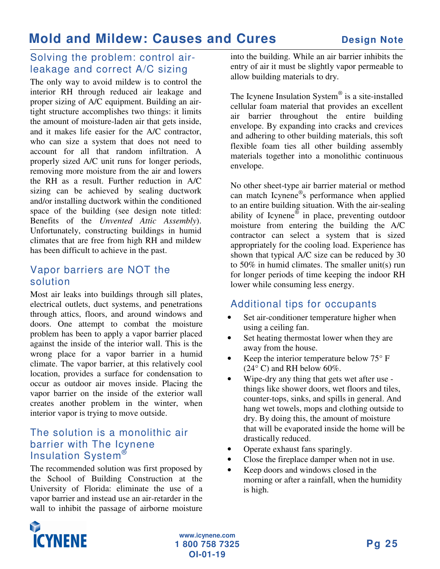#### Solving the problem: control airleakage and correct A/C sizing

The only way to avoid mildew is to control the interior RH through reduced air leakage and proper sizing of A/C equipment. Building an airtight structure accomplishes two things: it limits the amount of moisture-laden air that gets inside, and it makes life easier for the A/C contractor, who can size a system that does not need to account for all that random infiltration. A properly sized A/C unit runs for longer periods, removing more moisture from the air and lowers the RH as a result. Further reduction in A/C sizing can be achieved by sealing ductwork and/or installing ductwork within the conditioned space of the building (see design note titled: Benefits of the *Unvented Attic Assembly*). Unfortunately, constructing buildings in humid climates that are free from high RH and mildew has been difficult to achieve in the past.

#### Vapor barriers are NOT the solution

Most air leaks into buildings through sill plates, electrical outlets, duct systems, and penetrations through attics, floors, and around windows and doors. One attempt to combat the moisture problem has been to apply a vapor barrier placed against the inside of the interior wall. This is the wrong place for a vapor barrier in a humid climate. The vapor barrier, at this relatively cool location, provides a surface for condensation to occur as outdoor air moves inside. Placing the vapor barrier on the inside of the exterior wall creates another problem in the winter, when interior vapor is trying to move outside.

#### The solution is a monolithic air barrier with The Icynene Insulation System®

The recommended solution was first proposed by the School of Building Construction at the University of Florida: eliminate the use of a vapor barrier and instead use an air-retarder in the wall to inhibit the passage of airborne moisture

into the building. While an air barrier inhibits the entry of air it must be slightly vapor permeable to allow building materials to dry.

The Icynene Insulation System® is a site-installed cellular foam material that provides an excellent air barrier throughout the entire building envelope. By expanding into cracks and crevices and adhering to other building materials, this soft flexible foam ties all other building assembly materials together into a monolithic continuous envelope.

No other sheet-type air barrier material or method can match Icynene ® s performance when applied to an entire building situation. With the air-sealing ability of Icynene $\mathscr{F}$  in place, preventing outdoor moisture from entering the building the A/C contractor can select a system that is sized appropriately for the cooling load. Experience has shown that typical A/C size can be reduced by 30 to 50% in humid climates. The smaller unit(s) run for longer periods of time keeping the indoor RH lower while consuming less energy.

#### Additional tips for occupants

- Set air-conditioner temperature higher when using a ceiling fan.
- Set heating thermostat lower when they are away from the house.
- Keep the interior temperature below  $75^{\circ}$  F  $(24^{\circ} \text{ C})$  and RH below 60%.
- Wipe-dry any thing that gets wet after use things like shower doors, wet floors and tiles, counter-tops, sinks, and spills in general. And hang wet towels, mops and clothing outside to dry. By doing this, the amount of moisture that will be evaporated inside the home will be drastically reduced.
- Operate exhaust fans sparingly.
- Close the fireplace damper when not in use.
- Keep doors and windows closed in the morning or after a rainfall, when the humidity is high.

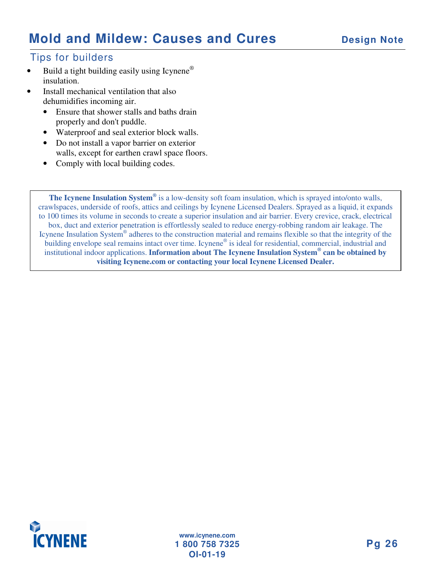### **Mold and Mildew: Causes and Cures Design Note**

#### Tips for builders

- Build a tight building easily using Icynene<sup>®</sup> insulation.
- Install mechanical ventilation that also dehumidifies incoming air.
	- Ensure that shower stalls and baths drain properly and don't puddle.
	- Waterproof and seal exterior block walls.
	- Do not install a vapor barrier on exterior walls, except for earthen crawl space floors.
	- Comply with local building codes.

**The Icynene Insulation System ®** is a low-density soft foam insulation, which is sprayed into/onto walls, crawlspaces, underside of roofs, attics and ceilings by Icynene Licensed Dealers. Sprayed as a liquid, it expands to 100 times its volume in seconds to create a superior insulation and air barrier. Every crevice, crack, electrical box, duct and exterior penetration is effortlessly sealed to reduce energy-robbing random air leakage. The Icynene Insulation System® adheres to the construction material and remains flexible so that the integrity of the building envelope seal remains intact over time. Icynene® is ideal for residential, commercial, industrial and institutional indoor applications. **Information about The Icynene Insulation System ® can be obtained by visiting Icynene.com or contacting your local Icynene Licensed Dealer.**

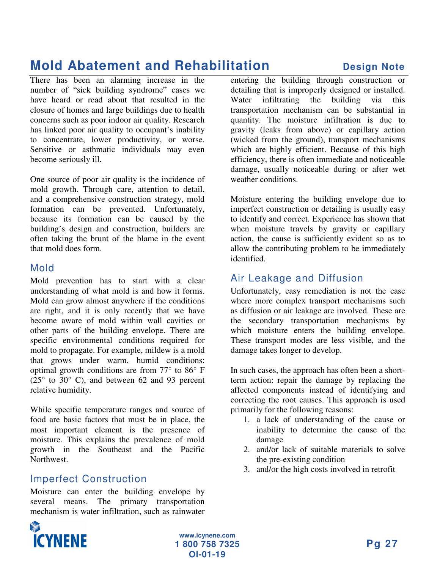## **Mold Abatement and Rehabilitation Design Note**

There has been an alarming increase in the number of "sick building syndrome" cases we have heard or read about that resulted in the closure of homes and large buildings due to health concerns such as poor indoor air quality. Research has linked poor air quality to occupant's inability to concentrate, lower productivity, or worse. Sensitive or asthmatic individuals may even become seriously ill.

One source of poor air quality is the incidence of mold growth. Through care, attention to detail, and a comprehensive construction strategy, mold formation can be prevented. Unfortunately, because its formation can be caused by the building's design and construction, builders are often taking the brunt of the blame in the event that mold does form.

#### Mold

Mold prevention has to start with a clear understanding of what mold is and how it forms. Mold can grow almost anywhere if the conditions are right, and it is only recently that we have become aware of mold within wall cavities or other parts of the building envelope. There are specific environmental conditions required for mold to propagate. For example, mildew is a mold that grows under warm, humid conditions: optimal growth conditions are from 77° to 86° F  $(25^{\circ}$  to  $30^{\circ}$  C), and between 62 and 93 percent relative humidity.

While specific temperature ranges and source of food are basic factors that must be in place, the most important element is the presence of moisture. This explains the prevalence of mold growth in the Southeast and the Pacific Northwest.

#### Imperfect Construction

Moisture can enter the building envelope by several means. The primary transportation mechanism is water infiltration, such as rainwater

entering the building through construction or detailing that is improperly designed or installed. Water infiltrating the building via this transportation mechanism can be substantial in quantity. The moisture infiltration is due to gravity (leaks from above) or capillary action (wicked from the ground), transport mechanisms which are highly efficient. Because of this high efficiency, there is often immediate and noticeable damage, usually noticeable during or after wet weather conditions.

Moisture entering the building envelope due to imperfect construction or detailing is usually easy to identify and correct. Experience has shown that when moisture travels by gravity or capillary action, the cause is sufficiently evident so as to allow the contributing problem to be immediately identified.

#### Air Leakage and Diffusion

Unfortunately, easy remediation is not the case where more complex transport mechanisms such as diffusion or air leakage are involved. These are the secondary transportation mechanisms by which moisture enters the building envelope. These transport modes are less visible, and the damage takes longer to develop.

In such cases, the approach has often been a shortterm action: repair the damage by replacing the affected components instead of identifying and correcting the root causes. This approach is used primarily for the following reasons:

- 1. a lack of understanding of the cause or inability to determine the cause of the damage
- 2. and/or lack of suitable materials to solve the pre-existing condition
- 3. and/or the high costs involved in retrofit

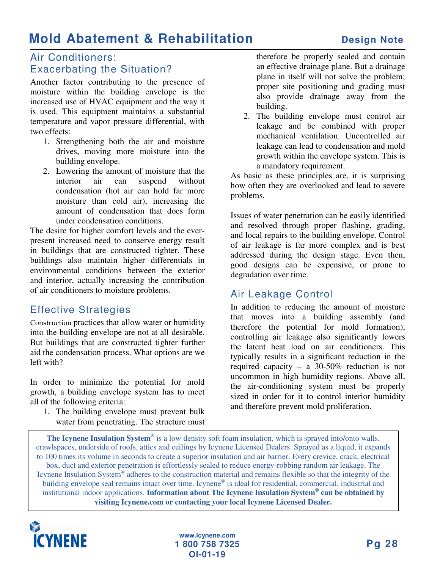### **Mold Abatement & Rehabilitation Design Note**

#### Air Conditioners: Exacerbating the Situation?

Another factor contributing to the presence of moisture within the building envelope is the increased use of HVAC equipment and the way it is used. This equipment maintains a substantial temperature and vapor pressure differential, with two effects:

- 1. Strengthening both the air and moisture drives, moving more moisture into the building envelope.
- 2. Lowering the amount of moisture that the interior air can suspend without condensation (hot air can hold far more moisture than cold air), increasing the amount of condensation that does form under condensation conditions.

The desire for higher comfort levels and the everpresent increased need to conserve energy result in buildings that are constructed tighter. These buildings also maintain higher differentials in environmental conditions between the exterior and interior, actually increasing the contribution of air conditioners to moisture problems.

#### Effective Strategies

Construction practices that allow water or humidity into the building envelope are not at all desirable. But buildings that are constructed tighter further aid the condensation process. What options are we left with?

In order to minimize the potential for mold growth, a building envelope system has to meet all of the following criteria:

1. The building envelope must prevent bulk water from penetrating. The structure must

therefore be properly sealed and contain an effective drainage plane. But a drainage plane in itself will not solve the problem; proper site positioning and grading must also provide drainage away from the building.

2. The building envelope must control air leakage and be combined with proper mechanical ventilation. Uncontrolled air leakage can lead to condensation and mold growth within the envelope system. This is a mandatory requirement.

As basic as these principles are, it is surprising how often they are overlooked and lead to severe problems.

Issues of water penetration can be easily identified and resolved through proper flashing, grading, and local repairs to the building envelope. Control of air leakage is far more complex and is best addressed during the design stage. Even then, good designs can be expensive, or prone to degradation over time.

#### Air Leakage Control

In addition to reducing the amount of moisture that moves into a building assembly (and therefore the potential for mold formation), controlling air leakage also significantly lowers the latent heat load on air conditioners. This typically results in a significant reduction in the required capacity – a 30-50% reduction is not uncommon in high humidity regions. Above all, the air-conditioning system must be properly sized in order for it to control interior humidity and therefore prevent mold proliferation.

**The Icynene Insulation System ®** is a low-density soft foam insulation, which is sprayed into/onto walls, crawlspaces, underside of roofs, attics and ceilings by Icynene Licensed Dealers. Sprayed as a liquid, it expands to 100 times its volume in seconds to create a superior insulation and air barrier. Every crevice, crack, electrical box, duct and exterior penetration is effortlessly sealed to reduce energy-robbing random air leakage. The Icynene Insulation System® adheres to the construction material and remains flexible so that the integrity of the building envelope seal remains intact over time. Icynene® is ideal for residential, commercial, industrial and institutional indoor applications. **Information about The Icynene Insulation System ® can be obtained by visiting Icynene.com or contacting your local Icynene Licensed Dealer.**

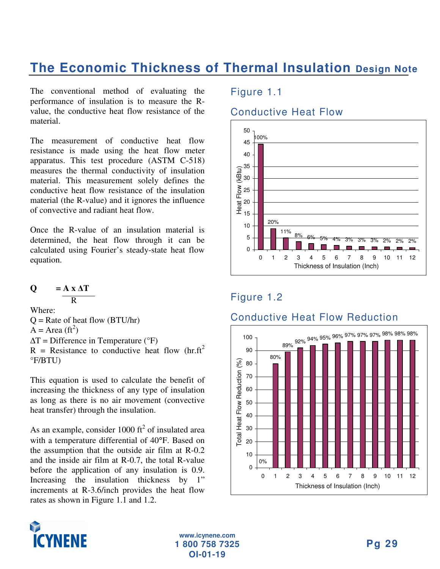The conventional method of evaluating the performance of insulation is to measure the Rvalue, the conductive heat flow resistance of the material.

The measurement of conductive heat flow resistance is made using the heat flow meter apparatus. This test procedure (ASTM C-518) measures the thermal conductivity of insulation material. This measurement solely defines the conductive heat flow resistance of the insulation material (the R-value) and it ignores the influence of convective and radiant heat flow.

Once the R-value of an insulation material is determined, the heat flow through it can be calculated using Fourier's steady-state heat flow equation.

$$
Q = \frac{A \times \Delta T}{R}
$$

Where:  $Q =$ Rate of heat flow (BTU/hr)  $\overline{A}$  = Area (ft<sup>2</sup>)  $\Delta T$  = Difference in Temperature ( ${}^{\circ}$ F)  $R$  = Resistance to conductive heat flow (hr.ft<sup>2</sup> °F/BTU)

This equation is used to calculate the benefit of increasing the thickness of any type of insulation as long as there is no air movement (convective heat transfer) through the insulation.

As an example, consider 1000  $\text{ft}^2$  of insulated area with a temperature differential of 40°F. Based on the assumption that the outside air film at R-0.2 and the inside air film at R-0.7, the total R-value before the application of any insulation is 0.9. Increasing the insulation thickness by 1" increments at R-3.6/inch provides the heat flow rates as shown in Figure 1.1 and 1.2.

#### Figure 1.1

#### Conductive Heat Flow



#### Figure 1.2



#### Conductive Heat Flow Reduction

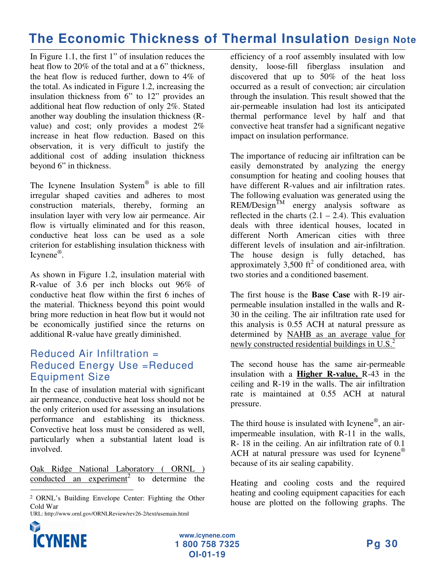In Figure 1.1, the first 1" of insulation reduces the heat flow to 20% of the total and at a 6" thickness, the heat flow is reduced further, down to 4% of the total. As indicated in Figure 1.2, increasing the insulation thickness from 6" to 12" provides an additional heat flow reduction of only 2%. Stated another way doubling the insulation thickness (Rvalue) and cost; only provides a modest 2% increase in heat flow reduction. Based on this observation, it is very difficult to justify the additional cost of adding insulation thickness beyond 6" in thickness.

The Icynene Insulation System<sup>®</sup> is able to fill irregular shaped cavities and adheres to most construction materials, thereby, forming an insulation layer with very low air permeance. Air flow is virtually eliminated and for this reason, conductive heat loss can be used as a sole criterion for establishing insulation thickness with Icynene®.

As shown in Figure 1.2, insulation material with R-value of 3.6 per inch blocks out 96% of conductive heat flow within the first 6 inches of the material. Thickness beyond this point would bring more reduction in heat flow but it would not be economically justified since the returns on additional R-value have greatly diminished.

#### Reduced Air Infiltration = Reduced Energy Use =Reduced Equipment Size

In the case of insulation material with significant air permeance, conductive heat loss should not be the only criterion used for assessing an insulations performance and establishing its thickness. Convective heat loss must be considered as well, particularly when a substantial latent load is involved.

Oak Ridge National Laboratory ( ORNL ) conducted an experiment<sup>2</sup> to determine the

efficiency of a roof assembly insulated with low density, loose-fill fiberglass insulation and discovered that up to 50% of the heat loss occurred as a result of convection; air circulation through the insulation. This result showed that the air-permeable insulation had lost its anticipated thermal performance level by half and that convective heat transfer had a significant negative impact on insulation performance.

The importance of reducing air infiltration can be easily demonstrated by analyzing the energy consumption for heating and cooling houses that have different R-values and air infiltration rates. The following evaluation was generated using the  $REM/Design^{\text{TM}}$  energy analysis software as reflected in the charts  $(2.1 – 2.4)$ . This evaluation deals with three identical houses, located in different North American cities with three different levels of insulation and air-infiltration. The house design is fully detached, has approximately  $3,500$  ft<sup>2</sup> of conditioned area, with two stories and a conditioned basement.

The first house is the **Base Case** with R-19 airpermeable insulation installed in the walls and R-30 in the ceiling. The air infiltration rate used for this analysis is 0.55 ACH at natural pressure as determined by NAHB as an average value for newly constructed residential buildings in U.S.<sup>2</sup>

The second house has the same air-permeable insulation with a **Higher R-value,** R-43 in the ceiling and R-19 in the walls. The air infiltration rate is maintained at 0.55 ACH at natural pressure.

The third house is insulated with Icynene<sup>®</sup>, an airimpermeable insulation, with R-11 in the walls, R- 18 in the ceiling. An air infiltration rate of 0.1 ACH at natural pressure was used for Icynene® because of its air sealing capability.

Heating and cooling costs and the required heating and cooling equipment capacities for each house are plotted on the following graphs. The



<u> Alexandria de la contrada de la contrada de la contrada de la contrada de la contrada de la contrada de la c</u>

 ORNL's Building Envelope Center: Fighting the Other Cold War

URL: http://www.ornl.gov/ORNLReview/rev26-2/text/usemain.html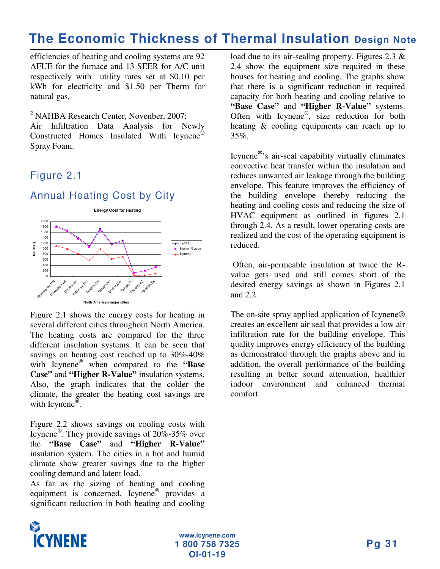efficiencies of heating and cooling systems are 92 AFUE for the furnace and 13 SEER for A/C unit respectively with utility rates set at \$0.10 per kWh for electricity and \$1.50 per Therm for natural gas.

<sup>2</sup> NAHBA Research Center, Novenber, 2007;

Air Infiltration Data Analysis for Newly Constructed Homes Insulated With Icynene® Spray Foam.

#### Figure 2.1

#### Annual Heating Cost by City

**Energy Cost for Heating**



Figure 2.1 shows the energy costs for heating in several different cities throughout North America. The heating costs are compared for the three different insulation systems. It can be seen that savings on heating cost reached up to 30%-40% with Icynene ® when compared to the **"Base Case"** and **"Higher R-Value"** insulation systems. Also, the graph indicates that the colder the climate, the greater the heating cost savings are with Icynene<sup>®</sup>.

Figure 2.2 shows savings on cooling costs with Icynene ® . They provide savings of 20%-35% over the **"Base Case"** and **"Higher R-Value"** insulation system. The cities in a hot and humid climate show greater savings due to the higher cooling demand and latent load.

As far as the sizing of heating and cooling equipment is concerned, Icynene<sup>®</sup> provides a significant reduction in both heating and cooling

load due to its air-sealing property. Figures 2.3 & 2.4 show the equipment size required in these houses for heating and cooling. The graphs show that there is a significant reduction in required capacity for both heating and cooling relative to **"Base Case"** and **"Higher R-Value"** systems. Often with Icynene<sup>®</sup>, size reduction for both heating & cooling equipments can reach up to 35%.

Icynene®'s air-seal capability virtually eliminates convective heat transfer within the insulation and reduces unwanted air leakage through the building envelope. This feature improves the efficiency of the building envelope thereby reducing the heating and cooling costs and reducing the size of HVAC equipment as outlined in figures 2.1 through 2.4. As a result, lower operating costs are realized and the cost of the operating equipment is reduced.

Often, air-permeable insulation at twice the Rvalue gets used and still comes short of the desired energy savings as shown in Figures 2.1 and 2.2.

The on-site spray applied application of Icynene® creates an excellent air seal that provides a low air infiltration rate for the building envelope. This quality improves energy efficiency of the building as demonstrated through the graphs above and in addition, the overall performance of the building resulting in better sound attenuation, healthier indoor environment and enhanced thermal comfort.

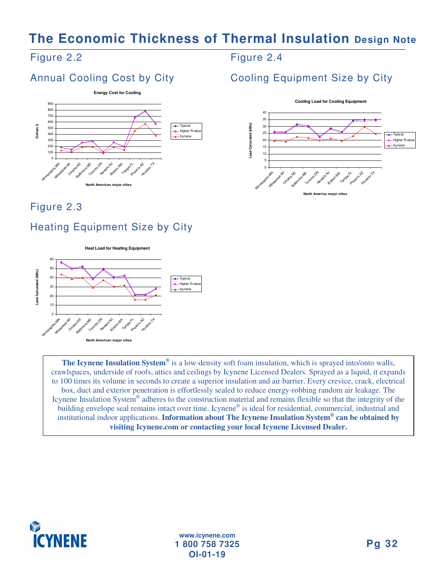#### Figure 2.2

### Annual Cooling Cost by City



Figure 2.3

### Heating Equipment Size by City



**The Icynene Insulation System ®** is a low-density soft foam insulation, which is sprayed into/onto walls, crawlspaces, underside of roofs, attics and ceilings by Icynene Licensed Dealers. Sprayed as a liquid, it expands to 100 times its volume in seconds to create a superior insulation and air barrier. Every crevice, crack, electrical box, duct and exterior penetration is effortlessly sealed to reduce energy-robbing random air leakage. The Icynene Insulation System® adheres to the construction material and remains flexible so that the integrity of the building envelope seal remains intact over time. Icynene® is ideal for residential, commercial, industrial and institutional indoor applications. **Information about The Icynene Insulation System ® can be obtained by**

**visiting Icynene.com or contacting your local Icynene Licensed Dealer.**



**www.icynene.com 1 800 758 7325 OI-01-19**

#### Figure 2.4

### Cooling Equipment Size by City

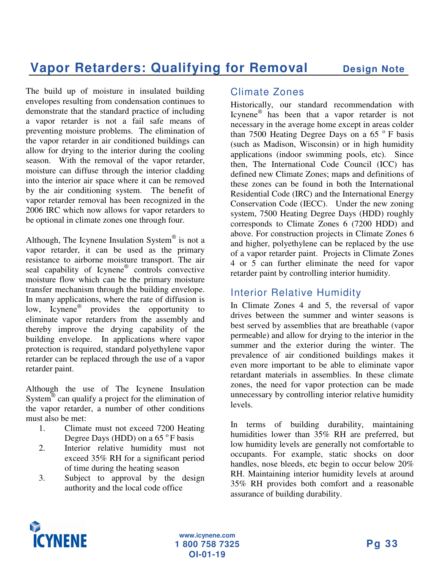The build up of moisture in insulated building envelopes resulting from condensation continues to demonstrate that the standard practice of including a vapor retarder is not a fail safe means of preventing moisture problems. The elimination of the vapor retarder in air conditioned buildings can allow for drying to the interior during the cooling season. With the removal of the vapor retarder, moisture can diffuse through the interior cladding into the interior air space where it can be removed by the air conditioning system. The benefit of vapor retarder removal has been recognized in the 2006 IRC which now allows for vapor retarders to be optional in climate zones one through four.

Although, The Icynene Insulation System® is not a vapor retarder, it can be used as the primary resistance to airborne moisture transport. The air seal capability of Icynene<sup>®</sup> controls convective moisture flow which can be the primary moisture transfer mechanism through the building envelope. In many applications, where the rate of diffusion is low, Icynene ® provides the opportunity to eliminate vapor retarders from the assembly and thereby improve the drying capability of the building envelope. In applications where vapor protection is required, standard polyethylene vapor retarder can be replaced through the use of a vapor retarder paint.

Although the use of The Icynene Insulation System<sup>®</sup> can qualify a project for the elimination of the vapor retarder, a number of other conditions must also be met:

- 1. Climate must not exceed 7200 Heating Degree Days (HDD) on a 65 °F basis
- 2. Interior relative humidity must not exceed 35% RH for a significant period of time during the heating season
- 3. Subject to approval by the design authority and the local code office

#### Climate Zones

Historically, our standard recommendation with Icynene ® has been that a vapor retarder is not necessary in the average home except in areas colder than 7500 Heating Degree Days on a 65 $\degree$ F basis (such as Madison, Wisconsin) or in high humidity applications (indoor swimming pools, etc). Since then, The International Code Council (ICC) has defined new Climate Zones; maps and definitions of these zones can be found in both the International Residential Code (IRC) and the International Energy Conservation Code (IECC). Under the new zoning system, 7500 Heating Degree Days (HDD) roughly corresponds to Climate Zones 6 (7200 HDD) and above. For construction projects in Climate Zones 6 and higher, polyethylene can be replaced by the use of a vapor retarder paint. Projects in Climate Zones 4 or 5 can further eliminate the need for vapor retarder paint by controlling interior humidity.

#### Interior Relative Humidity

In Climate Zones 4 and 5, the reversal of vapor drives between the summer and winter seasons is best served by assemblies that are breathable (vapor permeable) and allow for drying to the interior in the summer and the exterior during the winter. The prevalence of air conditioned buildings makes it even more important to be able to eliminate vapor retardant materials in assemblies. In these climate zones, the need for vapor protection can be made unnecessary by controlling interior relative humidity levels.

In terms of building durability, maintaining humidities lower than 35% RH are preferred, but low humidity levels are generally not comfortable to occupants. For example, static shocks on door handles, nose bleeds, etc begin to occur below 20% RH. Maintaining interior humidity levels at around 35% RH provides both comfort and a reasonable assurance of building durability.

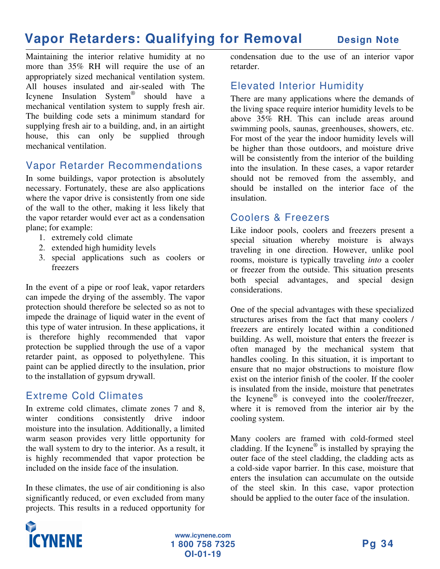### **Vapor Retarders: Qualifying for Removal Design Note**

Maintaining the interior relative humidity at no more than 35% RH will require the use of an appropriately sized mechanical ventilation system. All houses insulated and air-sealed with The Icynene Insulation System ® should have a mechanical ventilation system to supply fresh air. The building code sets a minimum standard for supplying fresh air to a building, and, in an airtight house, this can only be supplied through mechanical ventilation.

#### Vapor Retarder Recommendations

In some buildings, vapor protection is absolutely necessary. Fortunately, these are also applications where the vapor drive is consistently from one side of the wall to the other, making it less likely that the vapor retarder would ever act as a condensation plane; for example:

- 1. extremely cold climate
- 2. extended high humidity levels
- 3. special applications such as coolers or freezers

In the event of a pipe or roof leak, vapor retarders can impede the drying of the assembly. The vapor protection should therefore be selected so as not to impede the drainage of liquid water in the event of this type of water intrusion. In these applications, it is therefore highly recommended that vapor protection be supplied through the use of a vapor retarder paint, as opposed to polyethylene. This paint can be applied directly to the insulation, prior to the installation of gypsum drywall.

#### Extreme Cold Climates

In extreme cold climates, climate zones 7 and 8, winter conditions consistently drive indoor moisture into the insulation. Additionally, a limited warm season provides very little opportunity for the wall system to dry to the interior. As a result, it is highly recommended that vapor protection be included on the inside face of the insulation.

In these climates, the use of air conditioning is also significantly reduced, or even excluded from many projects. This results in a reduced opportunity for

condensation due to the use of an interior vapor retarder.

#### Elevated Interior Humidity

There are many applications where the demands of the living space require interior humidity levels to be above 35% RH. This can include areas around swimming pools, saunas, greenhouses, showers, etc. For most of the year the indoor humidity levels will be higher than those outdoors, and moisture drive will be consistently from the interior of the building into the insulation. In these cases, a vapor retarder should not be removed from the assembly, and should be installed on the interior face of the insulation.

#### Coolers & Freezers

Like indoor pools, coolers and freezers present a special situation whereby moisture is always traveling in one direction. However, unlike pool rooms, moisture is typically traveling *into* a cooler or freezer from the outside. This situation presents both special advantages, and special design considerations.

One of the special advantages with these specialized structures arises from the fact that many coolers / freezers are entirely located within a conditioned building. As well, moisture that enters the freezer is often managed by the mechanical system that handles cooling. In this situation, it is important to ensure that no major obstructions to moisture flow exist on the interior finish of the cooler. If the cooler is insulated from the inside, moisture that penetrates the Icynene ® is conveyed into the cooler/freezer, where it is removed from the interior air by the cooling system.

Many coolers are framed with cold-formed steel cladding. If the Icynene<sup>®</sup> is installed by spraying the outer face of the steel cladding, the cladding acts as a cold-side vapor barrier. In this case, moisture that enters the insulation can accumulate on the outside of the steel skin. In this case, vapor protection should be applied to the outer face of the insulation.